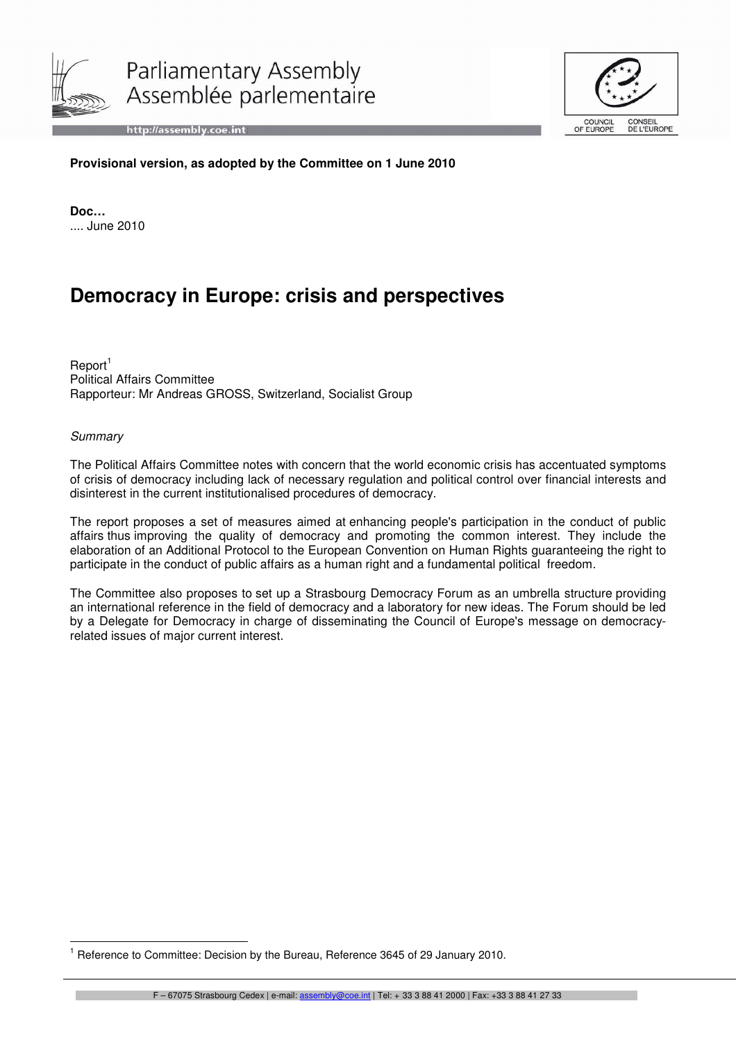

Parliamentary Assembly Assemblée parlementaire

http://assembly.coe.int



**Provisional version, as adopted by the Committee on 1 June 2010**

**Doc…** .... June 2010

# **Democracy in Europe: crisis and perspectives**

 $Report<sup>1</sup>$ Political Affairs Committee Rapporteur: Mr Andreas GROSS, Switzerland, Socialist Group

## **Summary**

l.

The Political Affairs Committee notes with concern that the world economic crisis has accentuated symptoms of crisis of democracy including lack of necessary regulation and political control over financial interests and disinterest in the current institutionalised procedures of democracy.

The report proposes a set of measures aimed at enhancing people's participation in the conduct of public affairs thus improving the quality of democracy and promoting the common interest. They include the elaboration of an Additional Protocol to the European Convention on Human Rights guaranteeing the right to participate in the conduct of public affairs as a human right and a fundamental political freedom.

The Committee also proposes to set up a Strasbourg Democracy Forum as an umbrella structure providing an international reference in the field of democracy and a laboratory for new ideas. The Forum should be led by a Delegate for Democracy in charge of disseminating the Council of Europe's message on democracyrelated issues of major current interest.

<sup>1</sup> Reference to Committee: Decision by the Bureau, Reference 3645 of 29 January 2010.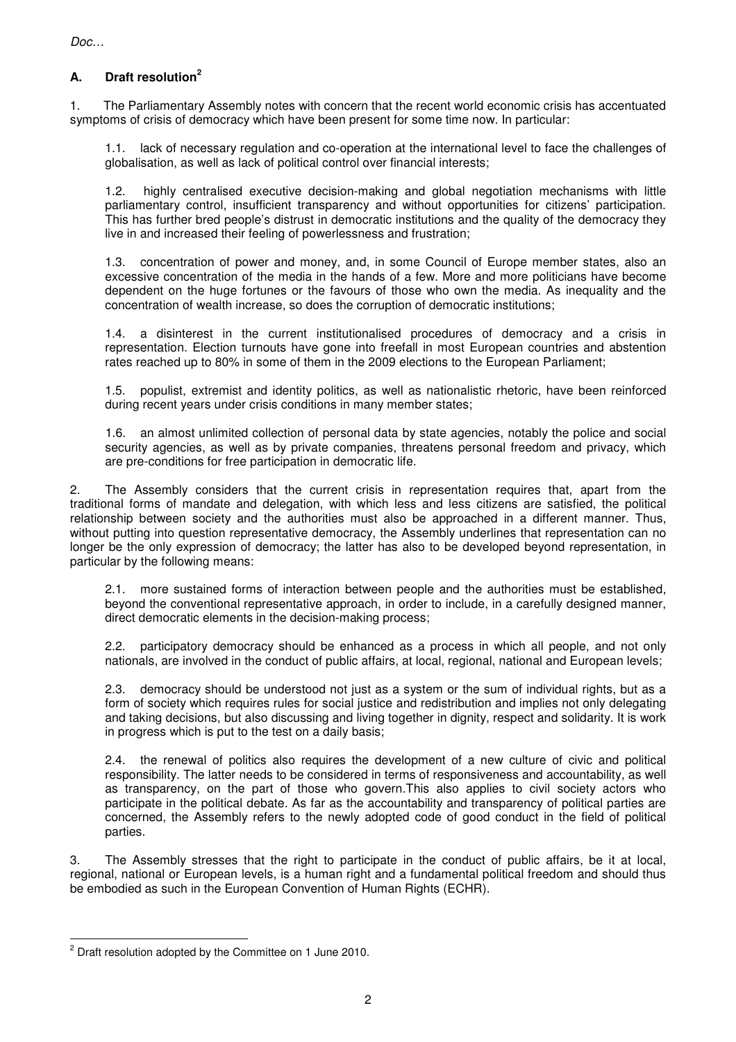## **A. Draft resolution<sup>2</sup>**

1. The Parliamentary Assembly notes with concern that the recent world economic crisis has accentuated symptoms of crisis of democracy which have been present for some time now. In particular:

1.1. lack of necessary regulation and co-operation at the international level to face the challenges of globalisation, as well as lack of political control over financial interests;

1.2. highly centralised executive decision-making and global negotiation mechanisms with little parliamentary control, insufficient transparency and without opportunities for citizens' participation. This has further bred people's distrust in democratic institutions and the quality of the democracy they live in and increased their feeling of powerlessness and frustration;

1.3. concentration of power and money, and, in some Council of Europe member states, also an excessive concentration of the media in the hands of a few. More and more politicians have become dependent on the huge fortunes or the favours of those who own the media. As inequality and the concentration of wealth increase, so does the corruption of democratic institutions;

1.4. a disinterest in the current institutionalised procedures of democracy and a crisis in representation. Election turnouts have gone into freefall in most European countries and abstention rates reached up to 80% in some of them in the 2009 elections to the European Parliament;

1.5. populist, extremist and identity politics, as well as nationalistic rhetoric, have been reinforced during recent years under crisis conditions in many member states;

1.6. an almost unlimited collection of personal data by state agencies, notably the police and social security agencies, as well as by private companies, threatens personal freedom and privacy, which are pre-conditions for free participation in democratic life.

2. The Assembly considers that the current crisis in representation requires that, apart from the traditional forms of mandate and delegation, with which less and less citizens are satisfied, the political relationship between society and the authorities must also be approached in a different manner. Thus, without putting into question representative democracy, the Assembly underlines that representation can no longer be the only expression of democracy; the latter has also to be developed beyond representation, in particular by the following means:

2.1. more sustained forms of interaction between people and the authorities must be established, beyond the conventional representative approach, in order to include, in a carefully designed manner, direct democratic elements in the decision-making process;

2.2. participatory democracy should be enhanced as a process in which all people, and not only nationals, are involved in the conduct of public affairs, at local, regional, national and European levels;

2.3. democracy should be understood not just as a system or the sum of individual rights, but as a form of society which requires rules for social justice and redistribution and implies not only delegating and taking decisions, but also discussing and living together in dignity, respect and solidarity. It is work in progress which is put to the test on a daily basis;

2.4. the renewal of politics also requires the development of a new culture of civic and political responsibility. The latter needs to be considered in terms of responsiveness and accountability, as well as transparency, on the part of those who govern.This also applies to civil society actors who participate in the political debate. As far as the accountability and transparency of political parties are concerned, the Assembly refers to the newly adopted code of good conduct in the field of political parties.

3. The Assembly stresses that the right to participate in the conduct of public affairs, be it at local, regional, national or European levels, is a human right and a fundamental political freedom and should thus be embodied as such in the European Convention of Human Rights (ECHR).

 $2$  Draft resolution adopted by the Committee on 1 June 2010.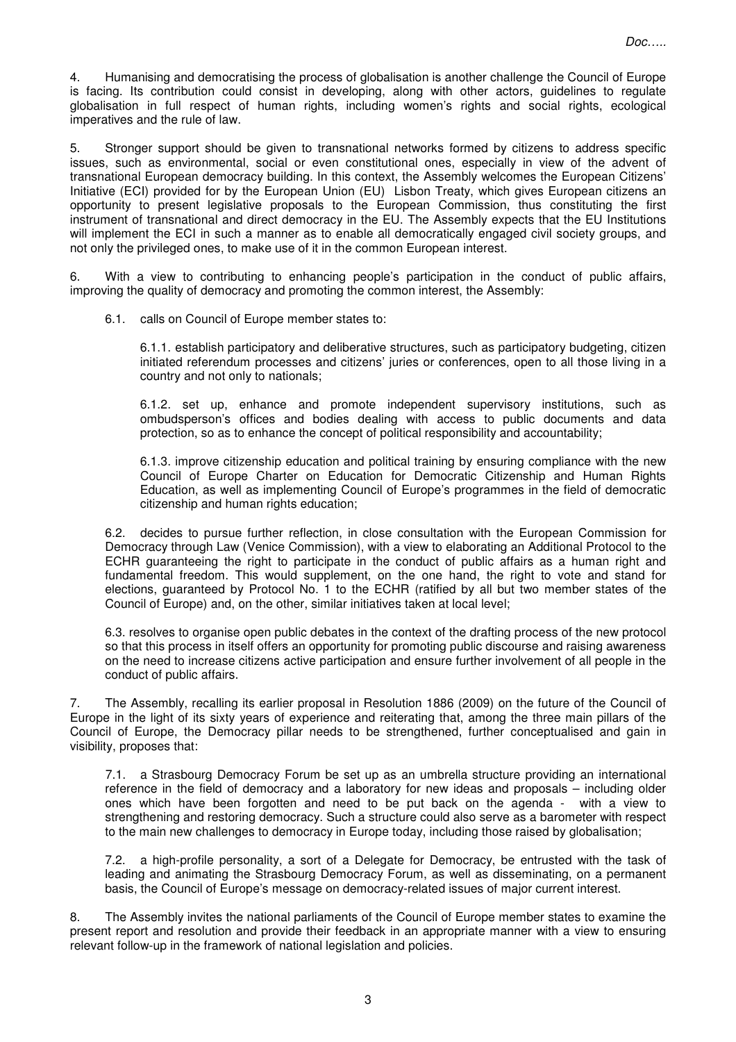4. Humanising and democratising the process of globalisation is another challenge the Council of Europe is facing. Its contribution could consist in developing, along with other actors, guidelines to regulate globalisation in full respect of human rights, including women's rights and social rights, ecological imperatives and the rule of law.

5. Stronger support should be given to transnational networks formed by citizens to address specific issues, such as environmental, social or even constitutional ones, especially in view of the advent of transnational European democracy building. In this context, the Assembly welcomes the European Citizens' Initiative (ECI) provided for by the European Union (EU) Lisbon Treaty, which gives European citizens an opportunity to present legislative proposals to the European Commission, thus constituting the first instrument of transnational and direct democracy in the EU. The Assembly expects that the EU Institutions will implement the ECI in such a manner as to enable all democratically engaged civil society groups, and not only the privileged ones, to make use of it in the common European interest.

6. With a view to contributing to enhancing people's participation in the conduct of public affairs, improving the quality of democracy and promoting the common interest, the Assembly:

6.1. calls on Council of Europe member states to:

6.1.1. establish participatory and deliberative structures, such as participatory budgeting, citizen initiated referendum processes and citizens' juries or conferences, open to all those living in a country and not only to nationals;

6.1.2. set up, enhance and promote independent supervisory institutions, such as ombudsperson's offices and bodies dealing with access to public documents and data protection, so as to enhance the concept of political responsibility and accountability;

6.1.3. improve citizenship education and political training by ensuring compliance with the new Council of Europe Charter on Education for Democratic Citizenship and Human Rights Education, as well as implementing Council of Europe's programmes in the field of democratic citizenship and human rights education;

6.2. decides to pursue further reflection, in close consultation with the European Commission for Democracy through Law (Venice Commission), with a view to elaborating an Additional Protocol to the ECHR guaranteeing the right to participate in the conduct of public affairs as a human right and fundamental freedom. This would supplement, on the one hand, the right to vote and stand for elections, guaranteed by Protocol No. 1 to the ECHR (ratified by all but two member states of the Council of Europe) and, on the other, similar initiatives taken at local level;

6.3. resolves to organise open public debates in the context of the drafting process of the new protocol so that this process in itself offers an opportunity for promoting public discourse and raising awareness on the need to increase citizens active participation and ensure further involvement of all people in the conduct of public affairs.

7. The Assembly, recalling its earlier proposal in Resolution 1886 (2009) on the future of the Council of Europe in the light of its sixty years of experience and reiterating that, among the three main pillars of the Council of Europe, the Democracy pillar needs to be strengthened, further conceptualised and gain in visibility, proposes that:

7.1. a Strasbourg Democracy Forum be set up as an umbrella structure providing an international reference in the field of democracy and a laboratory for new ideas and proposals – including older ones which have been forgotten and need to be put back on the agenda - with a view to strengthening and restoring democracy. Such a structure could also serve as a barometer with respect to the main new challenges to democracy in Europe today, including those raised by globalisation;

7.2. a high-profile personality, a sort of a Delegate for Democracy, be entrusted with the task of leading and animating the Strasbourg Democracy Forum, as well as disseminating, on a permanent basis, the Council of Europe's message on democracy-related issues of major current interest.

8. The Assembly invites the national parliaments of the Council of Europe member states to examine the present report and resolution and provide their feedback in an appropriate manner with a view to ensuring relevant follow-up in the framework of national legislation and policies.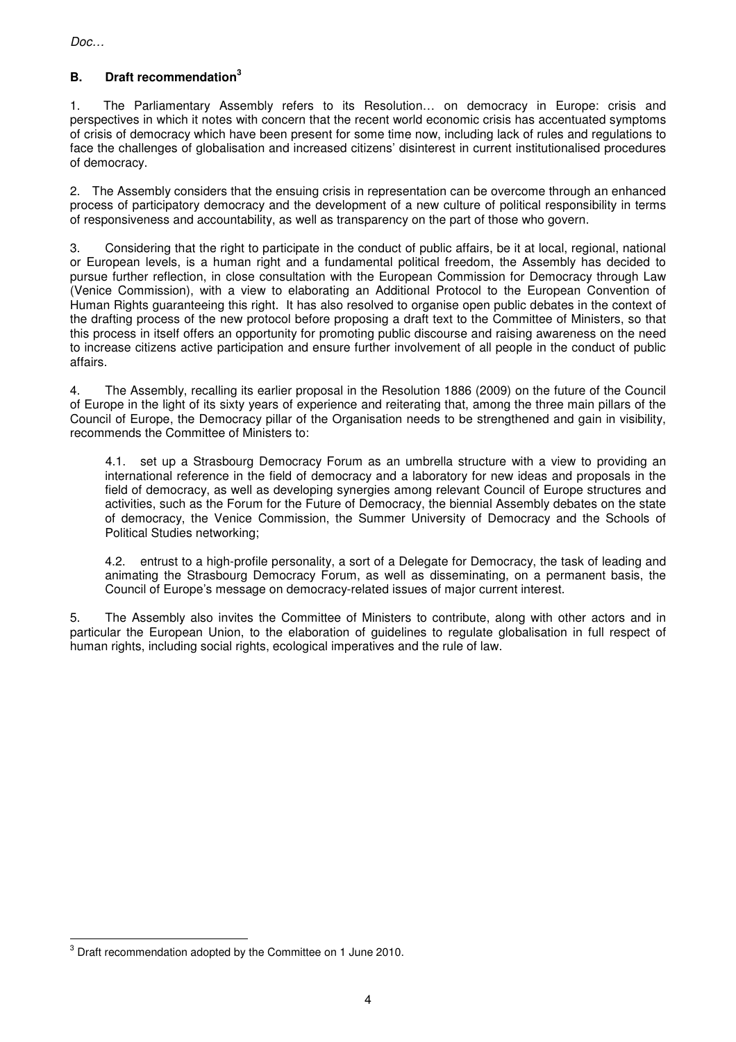## **B. Draft recommendation<sup>3</sup>**

1. The Parliamentary Assembly refers to its Resolution… on democracy in Europe: crisis and perspectives in which it notes with concern that the recent world economic crisis has accentuated symptoms of crisis of democracy which have been present for some time now, including lack of rules and regulations to face the challenges of globalisation and increased citizens' disinterest in current institutionalised procedures of democracy.

2. The Assembly considers that the ensuing crisis in representation can be overcome through an enhanced process of participatory democracy and the development of a new culture of political responsibility in terms of responsiveness and accountability, as well as transparency on the part of those who govern.

3. Considering that the right to participate in the conduct of public affairs, be it at local, regional, national or European levels, is a human right and a fundamental political freedom, the Assembly has decided to pursue further reflection, in close consultation with the European Commission for Democracy through Law (Venice Commission), with a view to elaborating an Additional Protocol to the European Convention of Human Rights guaranteeing this right. It has also resolved to organise open public debates in the context of the drafting process of the new protocol before proposing a draft text to the Committee of Ministers, so that this process in itself offers an opportunity for promoting public discourse and raising awareness on the need to increase citizens active participation and ensure further involvement of all people in the conduct of public affairs.

4. The Assembly, recalling its earlier proposal in the Resolution 1886 (2009) on the future of the Council of Europe in the light of its sixty years of experience and reiterating that, among the three main pillars of the Council of Europe, the Democracy pillar of the Organisation needs to be strengthened and gain in visibility, recommends the Committee of Ministers to:

4.1. set up a Strasbourg Democracy Forum as an umbrella structure with a view to providing an international reference in the field of democracy and a laboratory for new ideas and proposals in the field of democracy, as well as developing synergies among relevant Council of Europe structures and activities, such as the Forum for the Future of Democracy, the biennial Assembly debates on the state of democracy, the Venice Commission, the Summer University of Democracy and the Schools of Political Studies networking;

4.2. entrust to a high-profile personality, a sort of a Delegate for Democracy, the task of leading and animating the Strasbourg Democracy Forum, as well as disseminating, on a permanent basis, the Council of Europe's message on democracy-related issues of major current interest.

5. The Assembly also invites the Committee of Ministers to contribute, along with other actors and in particular the European Union, to the elaboration of guidelines to regulate globalisation in full respect of human rights, including social rights, ecological imperatives and the rule of law.

 $3$  Draft recommendation adopted by the Committee on 1 June 2010.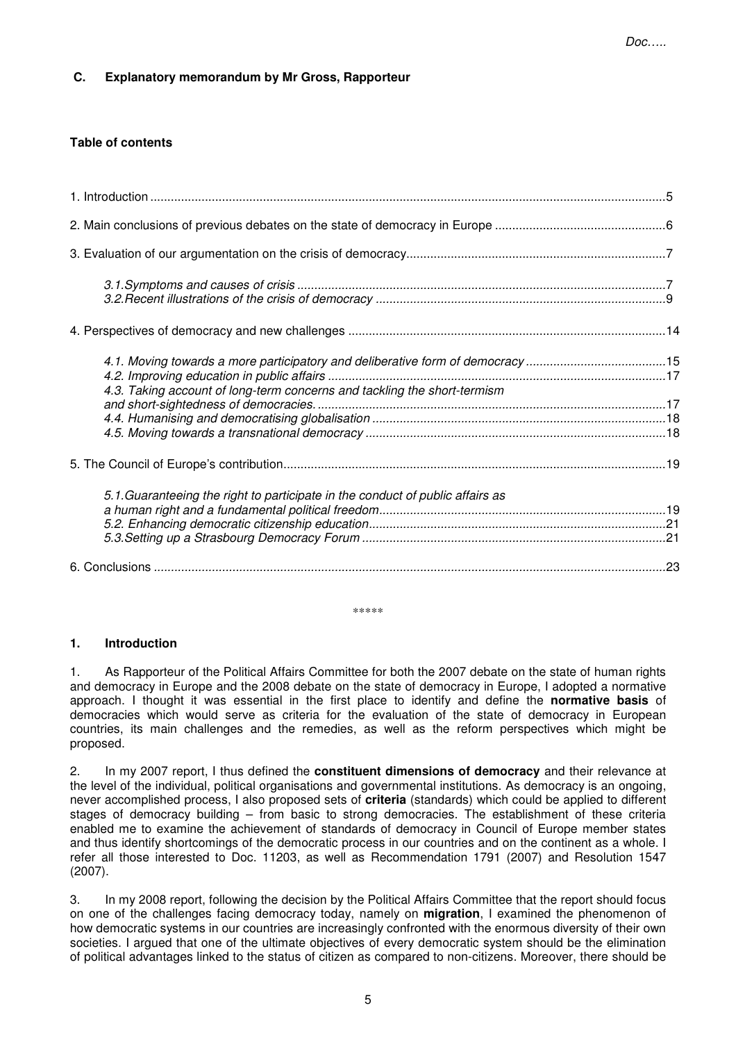## **C. Explanatory memorandum by Mr Gross, Rapporteur**

## **Table of contents**

| 4.1. Moving towards a more participatory and deliberative form of democracy 15<br>4.3. Taking account of long-term concerns and tackling the short-termism |  |
|------------------------------------------------------------------------------------------------------------------------------------------------------------|--|
|                                                                                                                                                            |  |
| 5.1. Guaranteeing the right to participate in the conduct of public affairs as                                                                             |  |
|                                                                                                                                                            |  |

#### \*\*\*\*\*

#### **1. Introduction**

1. As Rapporteur of the Political Affairs Committee for both the 2007 debate on the state of human rights and democracy in Europe and the 2008 debate on the state of democracy in Europe, I adopted a normative approach. I thought it was essential in the first place to identify and define the **normative basis** of democracies which would serve as criteria for the evaluation of the state of democracy in European countries, its main challenges and the remedies, as well as the reform perspectives which might be proposed.

2. In my 2007 report, I thus defined the **constituent dimensions of democracy** and their relevance at the level of the individual, political organisations and governmental institutions. As democracy is an ongoing, never accomplished process, I also proposed sets of **criteria** (standards) which could be applied to different stages of democracy building – from basic to strong democracies. The establishment of these criteria enabled me to examine the achievement of standards of democracy in Council of Europe member states and thus identify shortcomings of the democratic process in our countries and on the continent as a whole. I refer all those interested to Doc. 11203, as well as Recommendation 1791 (2007) and Resolution 1547 (2007).

3. In my 2008 report, following the decision by the Political Affairs Committee that the report should focus on one of the challenges facing democracy today, namely on **migration**, I examined the phenomenon of how democratic systems in our countries are increasingly confronted with the enormous diversity of their own societies. I argued that one of the ultimate objectives of every democratic system should be the elimination of political advantages linked to the status of citizen as compared to non-citizens. Moreover, there should be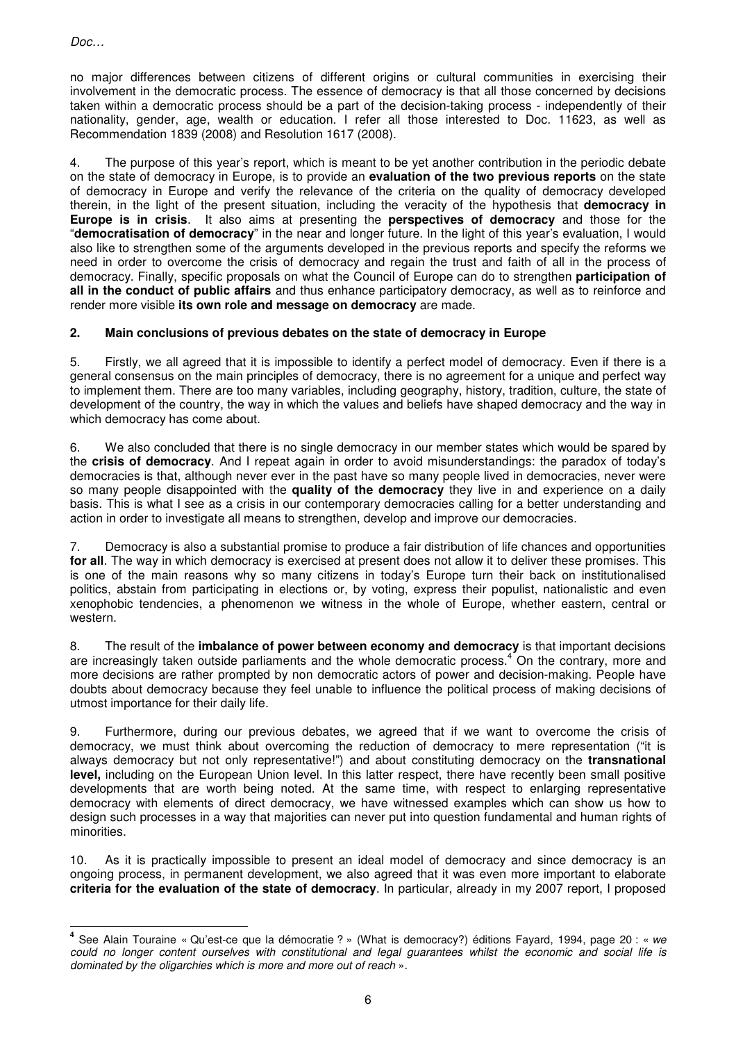l.

no major differences between citizens of different origins or cultural communities in exercising their involvement in the democratic process. The essence of democracy is that all those concerned by decisions taken within a democratic process should be a part of the decision-taking process - independently of their nationality, gender, age, wealth or education. I refer all those interested to Doc. 11623, as well as Recommendation 1839 (2008) and Resolution 1617 (2008).

4. The purpose of this year's report, which is meant to be yet another contribution in the periodic debate on the state of democracy in Europe, is to provide an **evaluation of the two previous reports** on the state of democracy in Europe and verify the relevance of the criteria on the quality of democracy developed therein, in the light of the present situation, including the veracity of the hypothesis that **democracy in Europe is in crisis**. It also aims at presenting the **perspectives of democracy** and those for the "**democratisation of democracy**" in the near and longer future. In the light of this year's evaluation, I would also like to strengthen some of the arguments developed in the previous reports and specify the reforms we need in order to overcome the crisis of democracy and regain the trust and faith of all in the process of democracy. Finally, specific proposals on what the Council of Europe can do to strengthen **participation of all in the conduct of public affairs** and thus enhance participatory democracy, as well as to reinforce and render more visible **its own role and message on democracy** are made.

## **2. Main conclusions of previous debates on the state of democracy in Europe**

5. Firstly, we all agreed that it is impossible to identify a perfect model of democracy. Even if there is a general consensus on the main principles of democracy, there is no agreement for a unique and perfect way to implement them. There are too many variables, including geography, history, tradition, culture, the state of development of the country, the way in which the values and beliefs have shaped democracy and the way in which democracy has come about.

6. We also concluded that there is no single democracy in our member states which would be spared by the **crisis of democracy**. And I repeat again in order to avoid misunderstandings: the paradox of today's democracies is that, although never ever in the past have so many people lived in democracies, never were so many people disappointed with the **quality of the democracy** they live in and experience on a daily basis. This is what I see as a crisis in our contemporary democracies calling for a better understanding and action in order to investigate all means to strengthen, develop and improve our democracies.

7. Democracy is also a substantial promise to produce a fair distribution of life chances and opportunities **for all**. The way in which democracy is exercised at present does not allow it to deliver these promises. This is one of the main reasons why so many citizens in today's Europe turn their back on institutionalised politics, abstain from participating in elections or, by voting, express their populist, nationalistic and even xenophobic tendencies, a phenomenon we witness in the whole of Europe, whether eastern, central or western.

8. The result of the **imbalance of power between economy and democracy** is that important decisions are increasingly taken outside parliaments and the whole democratic process.<sup>4</sup> On the contrary, more and more decisions are rather prompted by non democratic actors of power and decision-making. People have doubts about democracy because they feel unable to influence the political process of making decisions of utmost importance for their daily life.

9. Furthermore, during our previous debates, we agreed that if we want to overcome the crisis of democracy, we must think about overcoming the reduction of democracy to mere representation ("it is always democracy but not only representative!") and about constituting democracy on the **transnational level,** including on the European Union level. In this latter respect, there have recently been small positive developments that are worth being noted. At the same time, with respect to enlarging representative democracy with elements of direct democracy, we have witnessed examples which can show us how to design such processes in a way that majorities can never put into question fundamental and human rights of minorities.

10. As it is practically impossible to present an ideal model of democracy and since democracy is an ongoing process, in permanent development, we also agreed that it was even more important to elaborate **criteria for the evaluation of the state of democracy**. In particular, already in my 2007 report, I proposed

<sup>&</sup>lt;sup>4</sup> See Alain Touraine « Qu'est-ce que la démocratie ? » (What is democracy?) éditions Fayard, 1994, page 20 : « we could no longer content ourselves with constitutional and legal guarantees whilst the economic and social life is dominated by the oligarchies which is more and more out of reach ».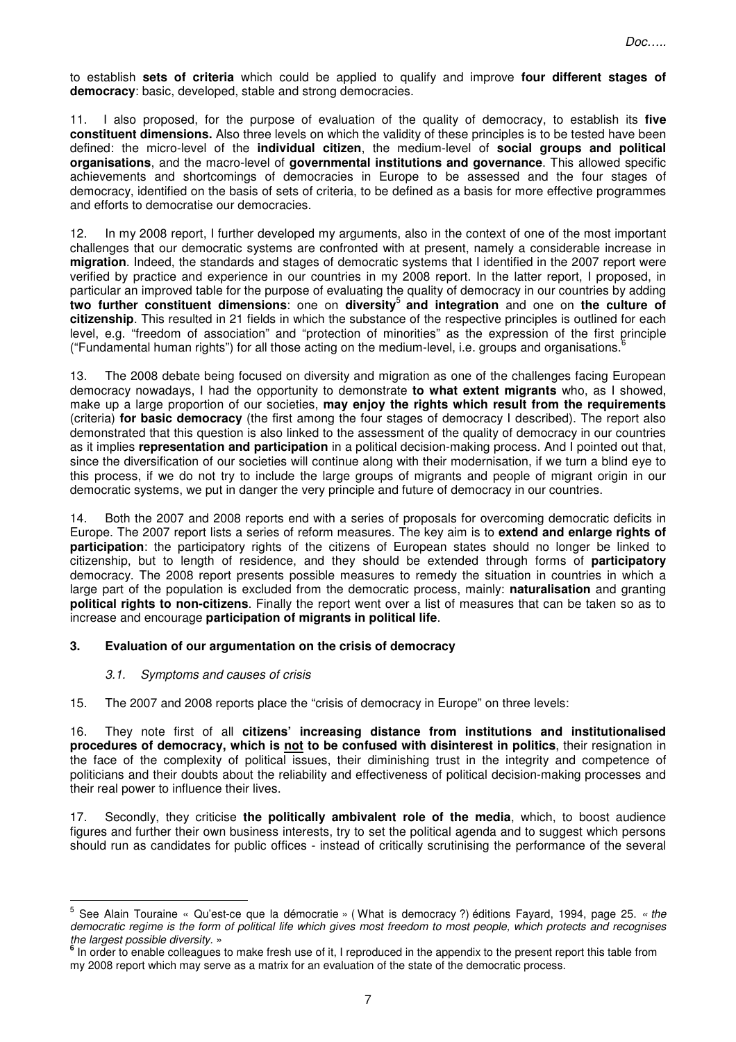to establish **sets of criteria** which could be applied to qualify and improve **four different stages of democracy**: basic, developed, stable and strong democracies.

11. I also proposed, for the purpose of evaluation of the quality of democracy, to establish its **five constituent dimensions.** Also three levels on which the validity of these principles is to be tested have been defined: the micro-level of the **individual citizen**, the medium-level of **social groups and political organisations**, and the macro-level of **governmental institutions and governance**. This allowed specific achievements and shortcomings of democracies in Europe to be assessed and the four stages of democracy, identified on the basis of sets of criteria, to be defined as a basis for more effective programmes and efforts to democratise our democracies.

12. In my 2008 report, I further developed my arguments, also in the context of one of the most important challenges that our democratic systems are confronted with at present, namely a considerable increase in **migration**. Indeed, the standards and stages of democratic systems that I identified in the 2007 report were verified by practice and experience in our countries in my 2008 report. In the latter report, I proposed, in particular an improved table for the purpose of evaluating the quality of democracy in our countries by adding **two further constituent dimensions**: one on **diversity**<sup>5</sup>**and integration** and one on **the culture of citizenship**. This resulted in 21 fields in which the substance of the respective principles is outlined for each level, e.g. "freedom of association" and "protection of minorities" as the expression of the first principle ("Fundamental human rights") for all those acting on the medium-level, i.e. groups and organisations.<sup>6</sup>

13. The 2008 debate being focused on diversity and migration as one of the challenges facing European democracy nowadays, I had the opportunity to demonstrate **to what extent migrants** who, as I showed, make up a large proportion of our societies, **may enjoy the rights which result from the requirements** (criteria) **for basic democracy** (the first among the four stages of democracy I described). The report also demonstrated that this question is also linked to the assessment of the quality of democracy in our countries as it implies **representation and participation** in a political decision-making process. And I pointed out that, since the diversification of our societies will continue along with their modernisation, if we turn a blind eye to this process, if we do not try to include the large groups of migrants and people of migrant origin in our democratic systems, we put in danger the very principle and future of democracy in our countries.

14. Both the 2007 and 2008 reports end with a series of proposals for overcoming democratic deficits in Europe. The 2007 report lists a series of reform measures. The key aim is to **extend and enlarge rights of participation**: the participatory rights of the citizens of European states should no longer be linked to citizenship, but to length of residence, and they should be extended through forms of **participatory** democracy. The 2008 report presents possible measures to remedy the situation in countries in which a large part of the population is excluded from the democratic process, mainly: **naturalisation** and granting **political rights to non-citizens**. Finally the report went over a list of measures that can be taken so as to increase and encourage **participation of migrants in political life**.

## **3. Evaluation of our argumentation on the crisis of democracy**

## 3.1. Symptoms and causes of crisis

 $\overline{a}$ 

15. The 2007 and 2008 reports place the "crisis of democracy in Europe" on three levels:

16. They note first of all **citizens' increasing distance from institutions and institutionalised procedures of democracy, which is not to be confused with disinterest in politics**, their resignation in the face of the complexity of political issues, their diminishing trust in the integrity and competence of politicians and their doubts about the reliability and effectiveness of political decision-making processes and their real power to influence their lives.

17. Secondly, they criticise **the politically ambivalent role of the media**, which, to boost audience figures and further their own business interests, try to set the political agenda and to suggest which persons should run as candidates for public offices - instead of critically scrutinising the performance of the several

<sup>5</sup> See Alain Touraine « Qu'est-ce que la démocratie » ( What is democracy ?) éditions Fayard, 1994, page 25. « the democratic regime is the form of political life which gives most freedom to most people, which protects and recognises the largest possible diversity. » **6**

In order to enable colleagues to make fresh use of it, I reproduced in the appendix to the present report this table from my 2008 report which may serve as a matrix for an evaluation of the state of the democratic process.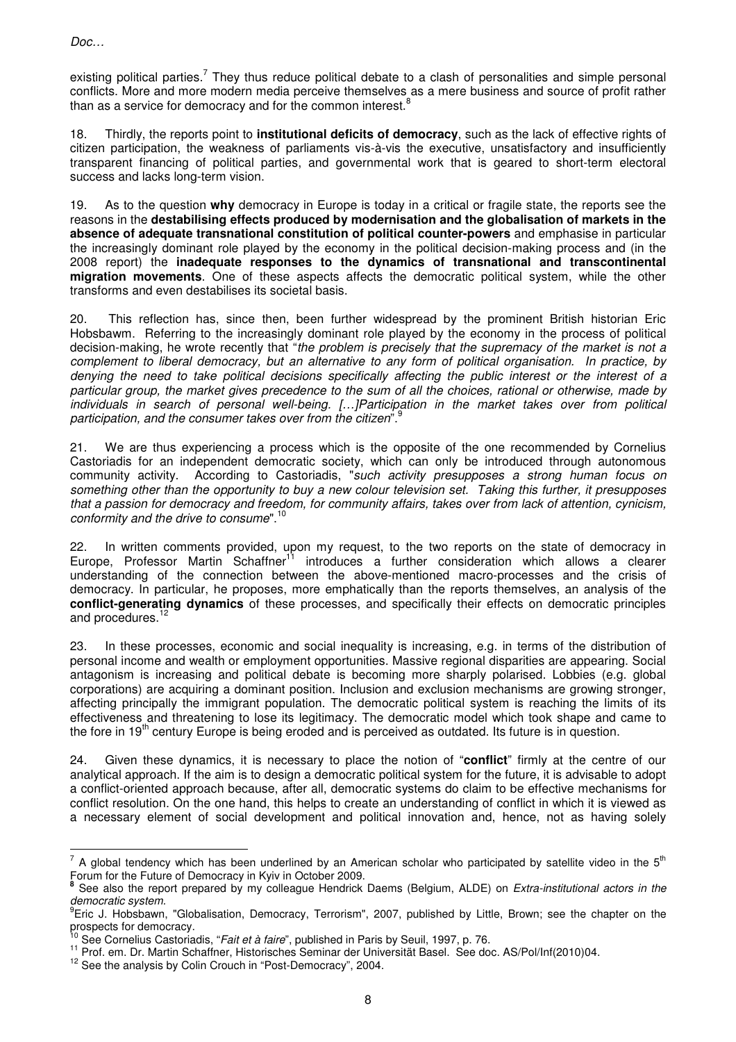l.

existing political parties.<sup>7</sup> They thus reduce political debate to a clash of personalities and simple personal conflicts. More and more modern media perceive themselves as a mere business and source of profit rather than as a service for democracy and for the common interest. $\frac{8}{3}$ 

18. Thirdly, the reports point to **institutional deficits of democracy**, such as the lack of effective rights of citizen participation, the weakness of parliaments vis-à-vis the executive, unsatisfactory and insufficiently transparent financing of political parties, and governmental work that is geared to short-term electoral success and lacks long-term vision.

19. As to the question **why** democracy in Europe is today in a critical or fragile state, the reports see the reasons in the **destabilising effects produced by modernisation and the globalisation of markets in the absence of adequate transnational constitution of political counter-powers** and emphasise in particular the increasingly dominant role played by the economy in the political decision-making process and (in the 2008 report) the **inadequate responses to the dynamics of transnational and transcontinental migration movements**. One of these aspects affects the democratic political system, while the other transforms and even destabilises its societal basis.

20. This reflection has, since then, been further widespread by the prominent British historian Eric Hobsbawm. Referring to the increasingly dominant role played by the economy in the process of political decision-making, he wrote recently that "the problem is precisely that the supremacy of the market is not a complement to liberal democracy, but an alternative to any form of political organisation. In practice, by denying the need to take political decisions specifically affecting the public interest or the interest of a particular group, the market gives precedence to the sum of all the choices, rational or otherwise, made by individuals in search of personal well-being. […]Participation in the market takes over from political participation, and the consumer takes over from the citizen".<sup>9</sup>

21. We are thus experiencing a process which is the opposite of the one recommended by Cornelius Castoriadis for an independent democratic society, which can only be introduced through autonomous community activity. According to Castoriadis, "such activity presupposes a strong human focus on something other than the opportunity to buy a new colour television set. Taking this further, it presupposes that a passion for democracy and freedom, for community affairs, takes over from lack of attention, cynicism, conformity and the drive to consume".<sup>1</sup>

22. In written comments provided, upon my request, to the two reports on the state of democracy in Europe, Professor Martin Schaffner<sup>11</sup> introduces a further consideration which allows a clearer understanding of the connection between the above-mentioned macro-processes and the crisis of democracy. In particular, he proposes, more emphatically than the reports themselves, an analysis of the **conflict-generating dynamics** of these processes, and specifically their effects on democratic principles and procedures.<sup>12</sup>

23. In these processes, economic and social inequality is increasing, e.g. in terms of the distribution of personal income and wealth or employment opportunities. Massive regional disparities are appearing. Social antagonism is increasing and political debate is becoming more sharply polarised. Lobbies (e.g. global corporations) are acquiring a dominant position. Inclusion and exclusion mechanisms are growing stronger, affecting principally the immigrant population. The democratic political system is reaching the limits of its effectiveness and threatening to lose its legitimacy. The democratic model which took shape and came to the fore in 19<sup>th</sup> century Europe is being eroded and is perceived as outdated. Its future is in question.

24. Given these dynamics, it is necessary to place the notion of "**conflict**" firmly at the centre of our analytical approach. If the aim is to design a democratic political system for the future, it is advisable to adopt a conflict-oriented approach because, after all, democratic systems do claim to be effective mechanisms for conflict resolution. On the one hand, this helps to create an understanding of conflict in which it is viewed as a necessary element of social development and political innovation and, hence, not as having solely

<sup>&</sup>lt;sup>7</sup> A global tendency which has been underlined by an American scholar who participated by satellite video in the 5<sup>th</sup> Forum for the Future of Democracy in Kyiv in October 2009. **8**

See also the report prepared by my colleague Hendrick Daems (Belgium, ALDE) on *Extra-institutional actors in the* democratic system.

<sup>9</sup> Eric J. Hobsbawn, "Globalisation, Democracy, Terrorism", 2007, published by Little, Brown; see the chapter on the prospects for democracy.

See Cornelius Castoriadis, "Fait et à faire", published in Paris by Seuil, 1997, p. 76.

<sup>&</sup>lt;sup>11</sup> Prof. em. Dr. Martin Schaffner, Historisches Seminar der Universität Basel. See doc. AS/Pol/Inf(2010)04.

<sup>&</sup>lt;sup>12</sup> See the analysis by Colin Crouch in "Post-Democracy", 2004.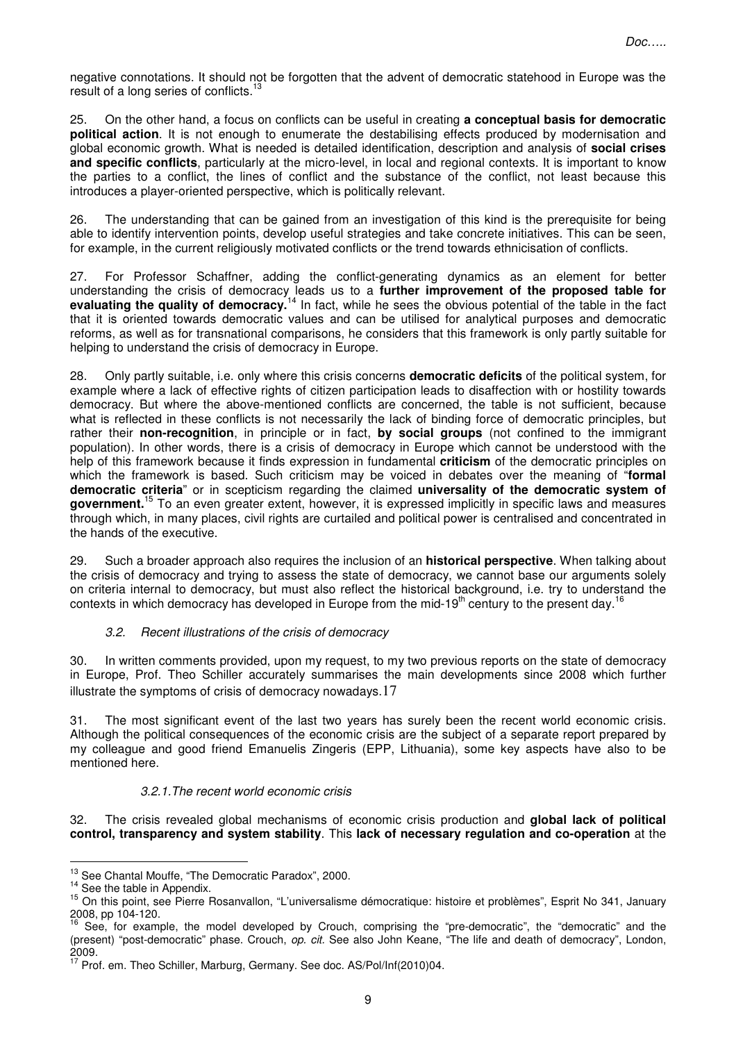negative connotations. It should not be forgotten that the advent of democratic statehood in Europe was the result of a long series of conflicts.<sup>13</sup>

25. On the other hand, a focus on conflicts can be useful in creating **a conceptual basis for democratic political action**. It is not enough to enumerate the destabilising effects produced by modernisation and global economic growth. What is needed is detailed identification, description and analysis of **social crises and specific conflicts**, particularly at the micro-level, in local and regional contexts. It is important to know the parties to a conflict, the lines of conflict and the substance of the conflict, not least because this introduces a player-oriented perspective, which is politically relevant.

26. The understanding that can be gained from an investigation of this kind is the prerequisite for being able to identify intervention points, develop useful strategies and take concrete initiatives. This can be seen, for example, in the current religiously motivated conflicts or the trend towards ethnicisation of conflicts.

27. For Professor Schaffner, adding the conflict-generating dynamics as an element for better understanding the crisis of democracy leads us to a **further improvement of the proposed table for evaluating the quality of democracy.**<sup>14</sup> In fact, while he sees the obvious potential of the table in the fact that it is oriented towards democratic values and can be utilised for analytical purposes and democratic reforms, as well as for transnational comparisons, he considers that this framework is only partly suitable for helping to understand the crisis of democracy in Europe.

28. Only partly suitable, i.e. only where this crisis concerns **democratic deficits** of the political system, for example where a lack of effective rights of citizen participation leads to disaffection with or hostility towards democracy. But where the above-mentioned conflicts are concerned, the table is not sufficient, because what is reflected in these conflicts is not necessarily the lack of binding force of democratic principles, but rather their **non-recognition**, in principle or in fact, **by social groups** (not confined to the immigrant population). In other words, there is a crisis of democracy in Europe which cannot be understood with the help of this framework because it finds expression in fundamental **criticism** of the democratic principles on which the framework is based. Such criticism may be voiced in debates over the meaning of "**formal democratic criteria**" or in scepticism regarding the claimed **universality of the democratic system of government.**<sup>15</sup> To an even greater extent, however, it is expressed implicitly in specific laws and measures through which, in many places, civil rights are curtailed and political power is centralised and concentrated in the hands of the executive.

29. Such a broader approach also requires the inclusion of an **historical perspective**. When talking about the crisis of democracy and trying to assess the state of democracy, we cannot base our arguments solely on criteria internal to democracy, but must also reflect the historical background, i.e. try to understand the contexts in which democracy has developed in Europe from the mid-19<sup>th</sup> century to the present day.<sup>16</sup>

## 3.2. Recent illustrations of the crisis of democracy

30. In written comments provided, upon my request, to my two previous reports on the state of democracy in Europe, Prof. Theo Schiller accurately summarises the main developments since 2008 which further illustrate the symptoms of crisis of democracy nowadays.17

31. The most significant event of the last two years has surely been the recent world economic crisis. Although the political consequences of the economic crisis are the subject of a separate report prepared by my colleague and good friend Emanuelis Zingeris (EPP, Lithuania), some key aspects have also to be mentioned here.

## 3.2.1.The recent world economic crisis

32. The crisis revealed global mechanisms of economic crisis production and **global lack of political control, transparency and system stability**. This **lack of necessary regulation and co-operation** at the

<sup>13</sup> See Chantal Mouffe, "The Democratic Paradox", 2000.

<sup>&</sup>lt;sup>14</sup> See the table in Appendix.

<sup>15</sup> On this point, see Pierre Rosanvallon, "L'universalisme démocratique: histoire et problèmes", Esprit No 341, January 2008, pp 104-120.

<sup>16</sup> See, for example, the model developed by Crouch, comprising the "pre-democratic", the "democratic" and the (present) "post-democratic" phase. Crouch, op. cit. See also John Keane, "The life and death of democracy", London, 2009.

<sup>&</sup>lt;sup>17</sup> Prof. em. Theo Schiller, Marburg, Germany. See doc. AS/Pol/Inf(2010)04.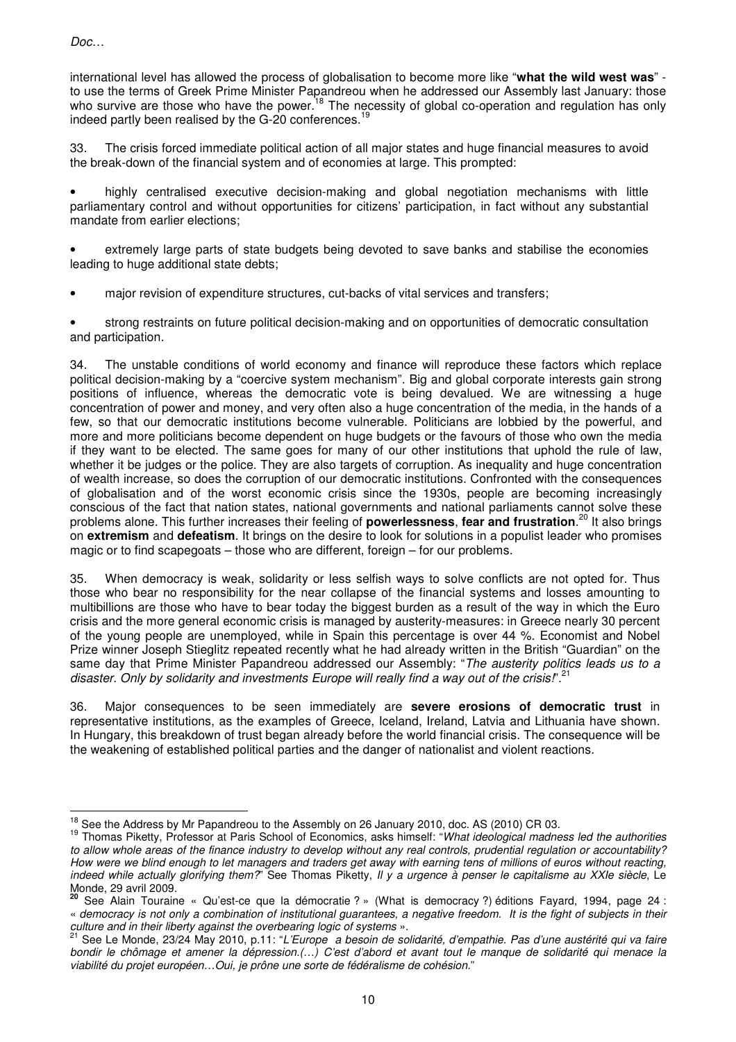$\overline{a}$ 

international level has allowed the process of globalisation to become more like "**what the wild west was**" to use the terms of Greek Prime Minister Papandreou when he addressed our Assembly last January: those who survive are those who have the power.<sup>18</sup> The necessity of global co-operation and regulation has only indeed partly been realised by the G-20 conferences.<sup>19</sup>

33. The crisis forced immediate political action of all major states and huge financial measures to avoid the break-down of the financial system and of economies at large. This prompted:

• highly centralised executive decision-making and global negotiation mechanisms with little parliamentary control and without opportunities for citizens' participation, in fact without any substantial mandate from earlier elections;

• extremely large parts of state budgets being devoted to save banks and stabilise the economies leading to huge additional state debts;

• major revision of expenditure structures, cut-backs of vital services and transfers;

• strong restraints on future political decision-making and on opportunities of democratic consultation and participation.

34. The unstable conditions of world economy and finance will reproduce these factors which replace political decision-making by a "coercive system mechanism". Big and global corporate interests gain strong positions of influence, whereas the democratic vote is being devalued. We are witnessing a huge concentration of power and money, and very often also a huge concentration of the media, in the hands of a few, so that our democratic institutions become vulnerable. Politicians are lobbied by the powerful, and more and more politicians become dependent on huge budgets or the favours of those who own the media if they want to be elected. The same goes for many of our other institutions that uphold the rule of law, whether it be judges or the police. They are also targets of corruption. As inequality and huge concentration of wealth increase, so does the corruption of our democratic institutions. Confronted with the consequences of globalisation and of the worst economic crisis since the 1930s, people are becoming increasingly conscious of the fact that nation states, national governments and national parliaments cannot solve these problems alone. This further increases their feeling of **powerlessness**, **fear and frustration**. <sup>20</sup> It also brings on **extremism** and **defeatism**. It brings on the desire to look for solutions in a populist leader who promises magic or to find scapegoats – those who are different, foreign – for our problems.

35. When democracy is weak, solidarity or less selfish ways to solve conflicts are not opted for. Thus those who bear no responsibility for the near collapse of the financial systems and losses amounting to multibillions are those who have to bear today the biggest burden as a result of the way in which the Euro crisis and the more general economic crisis is managed by austerity-measures: in Greece nearly 30 percent of the young people are unemployed, while in Spain this percentage is over 44 %. Economist and Nobel Prize winner Joseph Stieglitz repeated recently what he had already written in the British "Guardian" on the same day that Prime Minister Papandreou addressed our Assembly: "The austerity politics leads us to a disaster. Only by solidarity and investments Europe will really find a way out of the crisis!".<sup>21</sup>

36. Major consequences to be seen immediately are **severe erosions of democratic trust** in representative institutions, as the examples of Greece, Iceland, Ireland, Latvia and Lithuania have shown. In Hungary, this breakdown of trust began already before the world financial crisis. The consequence will be the weakening of established political parties and the danger of nationalist and violent reactions.

<sup>&</sup>lt;sup>18</sup> See the Address by Mr Papandreou to the Assembly on 26 January 2010, doc. AS (2010) CR 03.

<sup>&</sup>lt;sup>19</sup> Thomas Piketty, Professor at Paris School of Economics, asks himself: "What ideological madness led the authorities to allow whole areas of the finance industry to develop without any real controls, prudential regulation or accountability? How were we blind enough to let managers and traders get away with earning tens of millions of euros without reacting, indeed while actually glorifying them?" See Thomas Piketty, Il y a urgence à penser le capitalisme au XXIe siècle, Le Monde, 29 avril 2009.

**<sup>20</sup>** See Alain Touraine « Qu'est-ce que la démocratie ? » (What is democracy ?) éditions Fayard, 1994, page 24 : « democracy is not only a combination of institutional guarantees, a negative freedom. It is the fight of subjects in their culture and in their liberty against the overbearing logic of systems ».

See Le Monde, 23/24 May 2010, p.11: "L'Europe a besoin de solidarité, d'empathie. Pas d'une austérité qui va faire bondir le chômage et amener la dépression.(…) C'est d'abord et avant tout le manque de solidarité qui menace la viabilité du projet européen…Oui, je prône une sorte de fédéralisme de cohésion."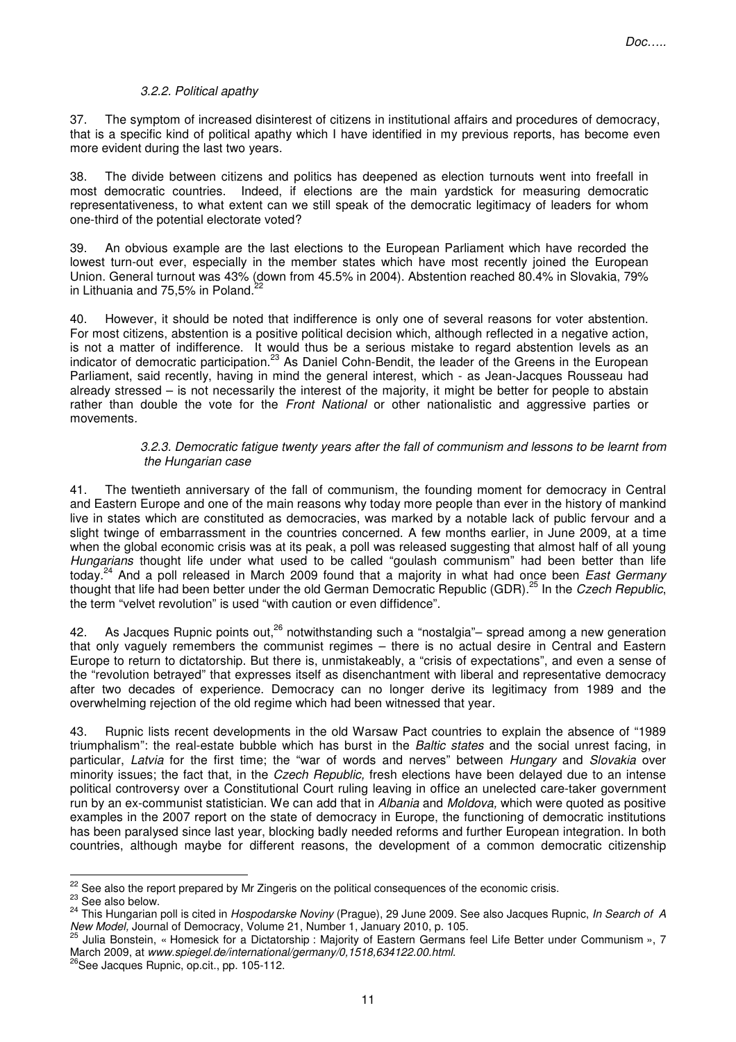## 3.2.2. Political apathy

37. The symptom of increased disinterest of citizens in institutional affairs and procedures of democracy, that is a specific kind of political apathy which I have identified in my previous reports, has become even more evident during the last two years.

38. The divide between citizens and politics has deepened as election turnouts went into freefall in most democratic countries. Indeed, if elections are the main yardstick for measuring democratic representativeness, to what extent can we still speak of the democratic legitimacy of leaders for whom one-third of the potential electorate voted?

39. An obvious example are the last elections to the European Parliament which have recorded the lowest turn-out ever, especially in the member states which have most recently joined the European Union. General turnout was 43% (down from 45.5% in 2004). Abstention reached 80.4% in Slovakia, 79% in Lithuania and 75,5% in Poland.

40. However, it should be noted that indifference is only one of several reasons for voter abstention. For most citizens, abstention is a positive political decision which, although reflected in a negative action, is not a matter of indifference. It would thus be a serious mistake to regard abstention levels as an indicator of democratic participation.<sup>23</sup> As Daniel Cohn-Bendit, the leader of the Greens in the European Parliament, said recently, having in mind the general interest, which - as Jean-Jacques Rousseau had already stressed – is not necessarily the interest of the majority, it might be better for people to abstain rather than double the vote for the Front National or other nationalistic and aggressive parties or movements.

#### 3.2.3. Democratic fatigue twenty years after the fall of communism and lessons to be learnt from the Hungarian case

41. The twentieth anniversary of the fall of communism, the founding moment for democracy in Central and Eastern Europe and one of the main reasons why today more people than ever in the history of mankind live in states which are constituted as democracies, was marked by a notable lack of public fervour and a slight twinge of embarrassment in the countries concerned. A few months earlier, in June 2009, at a time when the global economic crisis was at its peak, a poll was released suggesting that almost half of all young Hungarians thought life under what used to be called "goulash communism" had been better than life today.<sup>24</sup> And a poll released in March 2009 found that a majority in what had once been East Germany thought that life had been better under the old German Democratic Republic (GDR).<sup>25</sup> In the Czech Republic, the term "velvet revolution" is used "with caution or even diffidence".

42. As Jacques Rupnic points out,<sup>26</sup> notwithstanding such a "nostalgia"- spread among a new generation that only vaguely remembers the communist regimes – there is no actual desire in Central and Eastern Europe to return to dictatorship. But there is, unmistakeably, a "crisis of expectations", and even a sense of the "revolution betrayed" that expresses itself as disenchantment with liberal and representative democracy after two decades of experience. Democracy can no longer derive its legitimacy from 1989 and the overwhelming rejection of the old regime which had been witnessed that year.

43. Rupnic lists recent developments in the old Warsaw Pact countries to explain the absence of "1989 triumphalism": the real-estate bubble which has burst in the Baltic states and the social unrest facing, in particular, Latvia for the first time; the "war of words and nerves" between Hungary and Slovakia over minority issues; the fact that, in the *Czech Republic*, fresh elections have been delayed due to an intense political controversy over a Constitutional Court ruling leaving in office an unelected care-taker government run by an ex-communist statistician. We can add that in Albania and Moldova, which were quoted as positive examples in the 2007 report on the state of democracy in Europe, the functioning of democratic institutions has been paralysed since last year, blocking badly needed reforms and further European integration. In both countries, although maybe for different reasons, the development of a common democratic citizenship

<sup>&</sup>lt;sup>22</sup> See also the report prepared by Mr Zingeris on the political consequences of the economic crisis.

<sup>&</sup>lt;sup>23</sup> See also below.

<sup>&</sup>lt;sup>24</sup> This Hungarian poll is cited in Hospodarske Noviny (Prague), 29 June 2009. See also Jacques Rupnic, In Search of A New Model, Journal of Democracy, Volume 21, Number 1, January 2010, p. 105.

Julia Bonstein, « Homesick for a Dictatorship : Majority of Eastern Germans feel Life Better under Communism », 7 March 2009, at www.spiegel.de/international/germany/0,1518,634122.00.html.

<sup>26</sup>See Jacques Rupnic, op.cit., pp. 105-112.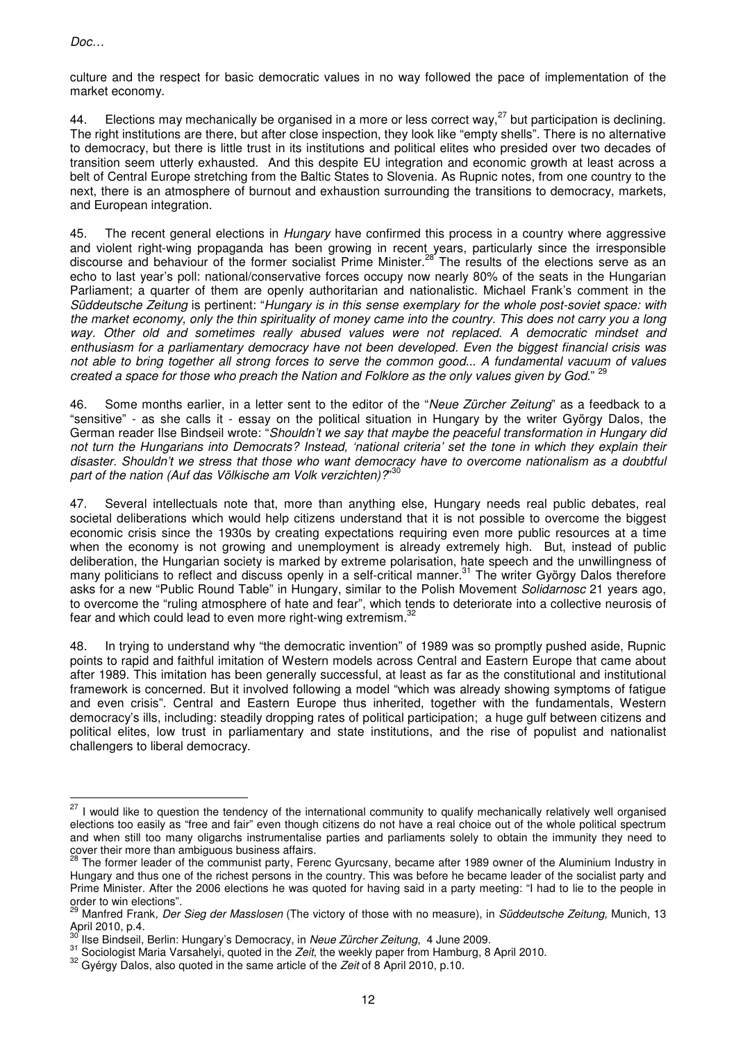$\overline{a}$ 

culture and the respect for basic democratic values in no way followed the pace of implementation of the market economy.

44. Elections may mechanically be organised in a more or less correct way,  $27$  but participation is declining. The right institutions are there, but after close inspection, they look like "empty shells". There is no alternative to democracy, but there is little trust in its institutions and political elites who presided over two decades of transition seem utterly exhausted. And this despite EU integration and economic growth at least across a belt of Central Europe stretching from the Baltic States to Slovenia. As Rupnic notes, from one country to the next, there is an atmosphere of burnout and exhaustion surrounding the transitions to democracy, markets, and European integration.

45. The recent general elections in Hungary have confirmed this process in a country where aggressive and violent right-wing propaganda has been growing in recent years, particularly since the irresponsible discourse and behaviour of the former socialist Prime Minister.<sup>28</sup> The results of the elections serve as an echo to last year's poll: national/conservative forces occupy now nearly 80% of the seats in the Hungarian Parliament; a quarter of them are openly authoritarian and nationalistic. Michael Frank's comment in the Süddeutsche Zeitung is pertinent: "Hungary is in this sense exemplary for the whole post-soviet space: with the market economy, only the thin spirituality of money came into the country. This does not carry you a long way. Other old and sometimes really abused values were not replaced. A democratic mindset and enthusiasm for a parliamentary democracy have not been developed. Even the biggest financial crisis was not able to bring together all strong forces to serve the common good... A fundamental vacuum of values created a space for those who preach the Nation and Folklore as the only values given by God."

46. Some months earlier, in a letter sent to the editor of the "Neue Zürcher Zeitung" as a feedback to a "sensitive" - as she calls it - essay on the political situation in Hungary by the writer György Dalos, the German reader Ilse Bindseil wrote: "Shouldn't we say that maybe the peaceful transformation in Hungary did not turn the Hungarians into Democrats? Instead, 'national criteria' set the tone in which they explain their disaster. Shouldn't we stress that those who want democracy have to overcome nationalism as a doubtful part of the nation (Auf das Völkische am Volk verzichten)?" $^{30}$ 

47. Several intellectuals note that, more than anything else, Hungary needs real public debates, real societal deliberations which would help citizens understand that it is not possible to overcome the biggest economic crisis since the 1930s by creating expectations requiring even more public resources at a time when the economy is not growing and unemployment is already extremely high. But, instead of public deliberation, the Hungarian society is marked by extreme polarisation, hate speech and the unwillingness of many politicians to reflect and discuss openly in a self-critical manner.<sup>31</sup> The writer György Dalos therefore asks for a new "Public Round Table" in Hungary, similar to the Polish Movement Solidarnosc 21 years ago, to overcome the "ruling atmosphere of hate and fear", which tends to deteriorate into a collective neurosis of fear and which could lead to even more right-wing extremism.<sup>32</sup>

48. In trying to understand why "the democratic invention" of 1989 was so promptly pushed aside, Rupnic points to rapid and faithful imitation of Western models across Central and Eastern Europe that came about after 1989. This imitation has been generally successful, at least as far as the constitutional and institutional framework is concerned. But it involved following a model "which was already showing symptoms of fatigue and even crisis". Central and Eastern Europe thus inherited, together with the fundamentals, Western democracy's ills, including: steadily dropping rates of political participation; a huge gulf between citizens and political elites, low trust in parliamentary and state institutions, and the rise of populist and nationalist challengers to liberal democracy.

<sup>&</sup>lt;sup>27</sup> I would like to question the tendency of the international community to qualify mechanically relatively well organised elections too easily as "free and fair" even though citizens do not have a real choice out of the whole political spectrum and when still too many oligarchs instrumentalise parties and parliaments solely to obtain the immunity they need to cover their more than ambiguous business affairs.

<sup>&</sup>lt;sup>28</sup> The former leader of the communist party, Ferenc Gyurcsany, became after 1989 owner of the Aluminium Industry in Hungary and thus one of the richest persons in the country. This was before he became leader of the socialist party and Prime Minister. After the 2006 elections he was quoted for having said in a party meeting: "I had to lie to the people in order to win elections".

<sup>29</sup> Manfred Frank, Der Sieg der Masslosen (The victory of those with no measure), in Süddeutsche Zeitung, Munich, 13 April 2010, p.4.

Ilse Bindseil, Berlin: Hungary's Democracy, in Neue Zürcher Zeitung, 4 June 2009.

<sup>&</sup>lt;sup>31</sup> Sociologist Maria Varsahelyi, quoted in the Zeit, the weekly paper from Hamburg, 8 April 2010.

 $32$  Gvérgy Dalos, also quoted in the same article of the Zeit of 8 April 2010, p.10.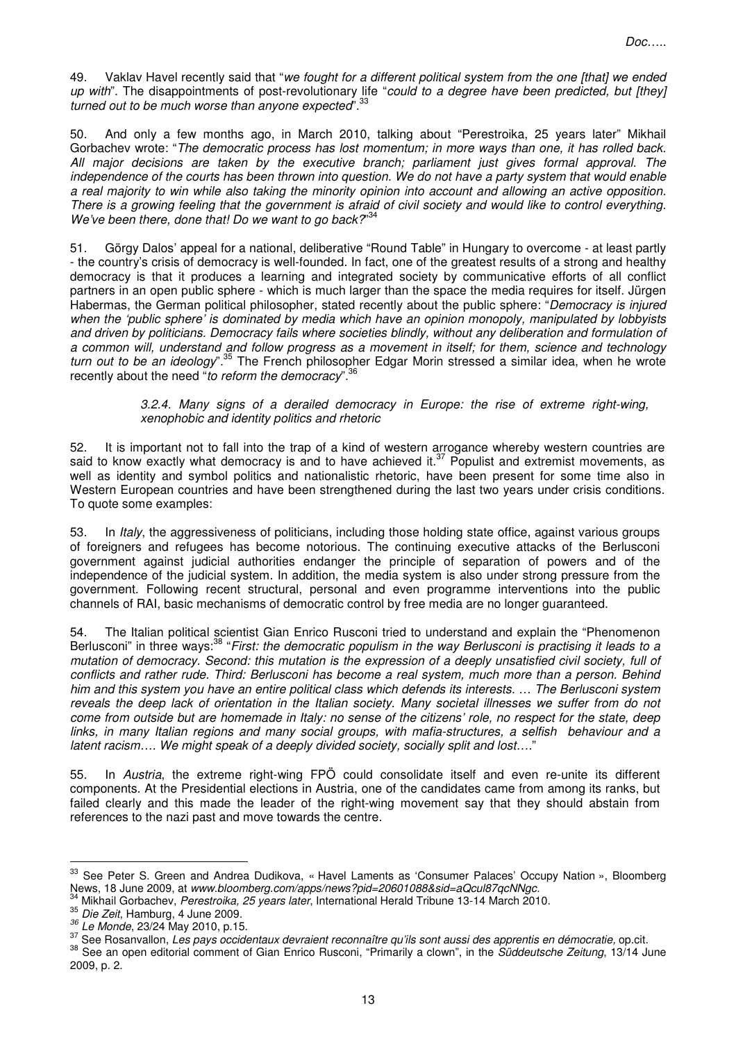49. Vaklay Havel recently said that "we fought for a different political system from the one [that] we ended up with". The disappointments of post-revolutionary life "could to a degree have been predicted, but [they] turned out to be much worse than anyone expected".<sup>33</sup>

50. And only a few months ago, in March 2010, talking about "Perestroika, 25 years later" Mikhail Gorbachev wrote: "The democratic process has lost momentum; in more ways than one, it has rolled back. All major decisions are taken by the executive branch; parliament just gives formal approval. The independence of the courts has been thrown into question. We do not have a party system that would enable a real majority to win while also taking the minority opinion into account and allowing an active opposition. There is a growing feeling that the government is afraid of civil society and would like to control everything. We've been there, done that! Do we want to go back?"34

51. Görgy Dalos' appeal for a national, deliberative "Round Table" in Hungary to overcome - at least partly - the country's crisis of democracy is well-founded. In fact, one of the greatest results of a strong and healthy democracy is that it produces a learning and integrated society by communicative efforts of all conflict partners in an open public sphere - which is much larger than the space the media requires for itself. Jürgen Habermas, the German political philosopher, stated recently about the public sphere: "Democracy is injured when the 'public sphere' is dominated by media which have an opinion monopoly, manipulated by lobbyists and driven by politicians. Democracy fails where societies blindly, without any deliberation and formulation of a common will, understand and follow progress as a movement in itself; for them, science and technology d common will, understand and follow progress as a more means in the stress of the protecture of turn out to be an ideology".<sup>35</sup> The French philosopher Edgar Morin stressed a similar idea, when he wrote recently about the need "to reform the democracy".

> 3.2.4. Many signs of a derailed democracy in Europe: the rise of extreme right-wing, xenophobic and identity politics and rhetoric

52. It is important not to fall into the trap of a kind of western arrogance whereby western countries are said to know exactly what democracy is and to have achieved it.<sup>37</sup> Populist and extremist movements, as well as identity and symbol politics and nationalistic rhetoric, have been present for some time also in Western European countries and have been strengthened during the last two years under crisis conditions. To quote some examples:

53. In Italy, the aggressiveness of politicians, including those holding state office, against various groups of foreigners and refugees has become notorious. The continuing executive attacks of the Berlusconi government against judicial authorities endanger the principle of separation of powers and of the independence of the judicial system. In addition, the media system is also under strong pressure from the government. Following recent structural, personal and even programme interventions into the public channels of RAI, basic mechanisms of democratic control by free media are no longer guaranteed.

54. The Italian political scientist Gian Enrico Rusconi tried to understand and explain the "Phenomenon Berlusconi" in three ways:<sup>38</sup> "First: the democratic populism in the way Berlusconi is practising it leads to a mutation of democracy. Second: this mutation is the expression of a deeply unsatisfied civil society, full of conflicts and rather rude. Third: Berlusconi has become a real system, much more than a person. Behind him and this system you have an entire political class which defends its interests. … The Berlusconi system reveals the deep lack of orientation in the Italian society. Many societal illnesses we suffer from do not come from outside but are homemade in Italy: no sense of the citizens' role, no respect for the state, deep links, in many Italian regions and many social groups, with mafia-structures, a selfish behaviour and a latent racism…. We might speak of a deeply divided society, socially split and lost…."

55. In Austria, the extreme right-wing FPÖ could consolidate itself and even re-unite its different components. At the Presidential elections in Austria, one of the candidates came from among its ranks, but failed clearly and this made the leader of the right-wing movement say that they should abstain from references to the nazi past and move towards the centre.

<sup>33</sup> See Peter S. Green and Andrea Dudikova, « Havel Laments as 'Consumer Palaces' Occupy Nation », Bloomberg News, 18 June 2009, at www.bloomberg.com/apps/news?pid=20601088&sid=aQcul87qcNNgc.

Mikhail Gorbachev, Perestroika, 25 years later, International Herald Tribune 13-14 March 2010.

<sup>&</sup>lt;sup>35</sup> Die Zeit, Hamburg, 4 June 2009.

<sup>36</sup> Le Monde, 23/24 May 2010, p.15.

<sup>37</sup> See Rosanvallon, Les pays occidentaux devraient reconnaître qu'ils sont aussi des apprentis en démocratie, op.cit.

<sup>38</sup> See an open editorial comment of Gian Enrico Rusconi, "Primarily a clown", in the Süddeutsche Zeitung, 13/14 June 2009, p. 2.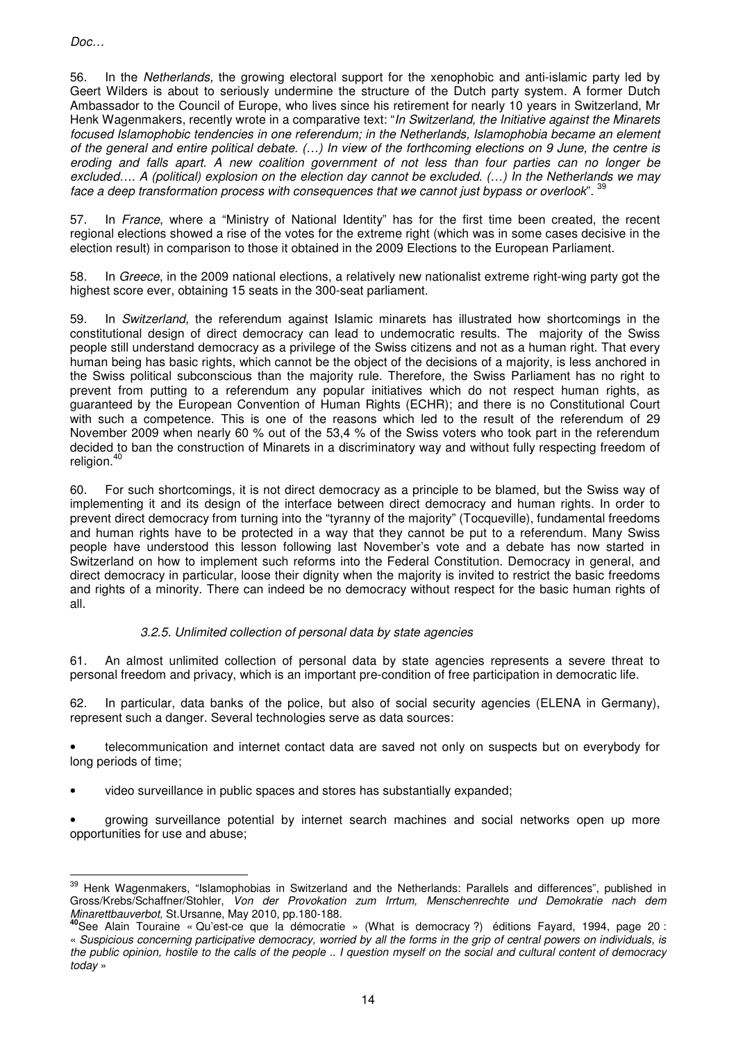$\overline{a}$ 

56. In the Netherlands, the growing electoral support for the xenophobic and anti-islamic party led by Geert Wilders is about to seriously undermine the structure of the Dutch party system. A former Dutch Ambassador to the Council of Europe, who lives since his retirement for nearly 10 years in Switzerland, Mr Henk Wagenmakers, recently wrote in a comparative text: "In Switzerland, the Initiative against the Minarets focused Islamophobic tendencies in one referendum; in the Netherlands, Islamophobia became an element of the general and entire political debate. (…) In view of the forthcoming elections on 9 June, the centre is eroding and falls apart. A new coalition government of not less than four parties can no longer be excluded…. A (political) explosion on the election day cannot be excluded. (…) In the Netherlands we may face a deep transformation process with consequences that we cannot just bypass or overlook". <sup>39</sup>

57. In France, where a "Ministry of National Identity" has for the first time been created, the recent regional elections showed a rise of the votes for the extreme right (which was in some cases decisive in the election result) in comparison to those it obtained in the 2009 Elections to the European Parliament.

58. In Greece, in the 2009 national elections, a relatively new nationalist extreme right-wing party got the highest score ever, obtaining 15 seats in the 300-seat parliament.

59. In Switzerland, the referendum against Islamic minarets has illustrated how shortcomings in the constitutional design of direct democracy can lead to undemocratic results. The majority of the Swiss people still understand democracy as a privilege of the Swiss citizens and not as a human right. That every human being has basic rights, which cannot be the object of the decisions of a majority, is less anchored in the Swiss political subconscious than the majority rule. Therefore, the Swiss Parliament has no right to prevent from putting to a referendum any popular initiatives which do not respect human rights, as guaranteed by the European Convention of Human Rights (ECHR); and there is no Constitutional Court with such a competence. This is one of the reasons which led to the result of the referendum of 29 November 2009 when nearly 60 % out of the 53,4 % of the Swiss voters who took part in the referendum decided to ban the construction of Minarets in a discriminatory way and without fully respecting freedom of religion.<sup>4</sup>

60. For such shortcomings, it is not direct democracy as a principle to be blamed, but the Swiss way of implementing it and its design of the interface between direct democracy and human rights. In order to prevent direct democracy from turning into the "tyranny of the majority" (Tocqueville), fundamental freedoms and human rights have to be protected in a way that they cannot be put to a referendum. Many Swiss people have understood this lesson following last November's vote and a debate has now started in Switzerland on how to implement such reforms into the Federal Constitution. Democracy in general, and direct democracy in particular, loose their dignity when the majority is invited to restrict the basic freedoms and rights of a minority. There can indeed be no democracy without respect for the basic human rights of all.

## 3.2.5. Unlimited collection of personal data by state agencies

61. An almost unlimited collection of personal data by state agencies represents a severe threat to personal freedom and privacy, which is an important pre-condition of free participation in democratic life.

62. In particular, data banks of the police, but also of social security agencies (ELENA in Germany), represent such a danger. Several technologies serve as data sources:

• telecommunication and internet contact data are saved not only on suspects but on everybody for long periods of time;

• video surveillance in public spaces and stores has substantially expanded;

• growing surveillance potential by internet search machines and social networks open up more opportunities for use and abuse;

<sup>39</sup> Henk Wagenmakers, "Islamophobias in Switzerland and the Netherlands: Parallels and differences", published in Gross/Krebs/Schaffner/Stohler, Von der Provokation zum Irrtum, Menschenrechte und Demokratie nach dem Minarettbauverbot, St.Ursanne, May 2010, pp.180-188.

**<sup>40</sup>**See Alain Touraine « Qu'est-ce que la démocratie » (What is democracy ?) éditions Fayard, 1994, page 20 : « Suspicious concerning participative democracy, worried by all the forms in the grip of central powers on individuals, is the public opinion, hostile to the calls of the people .. I question myself on the social and cultural content of democracy today »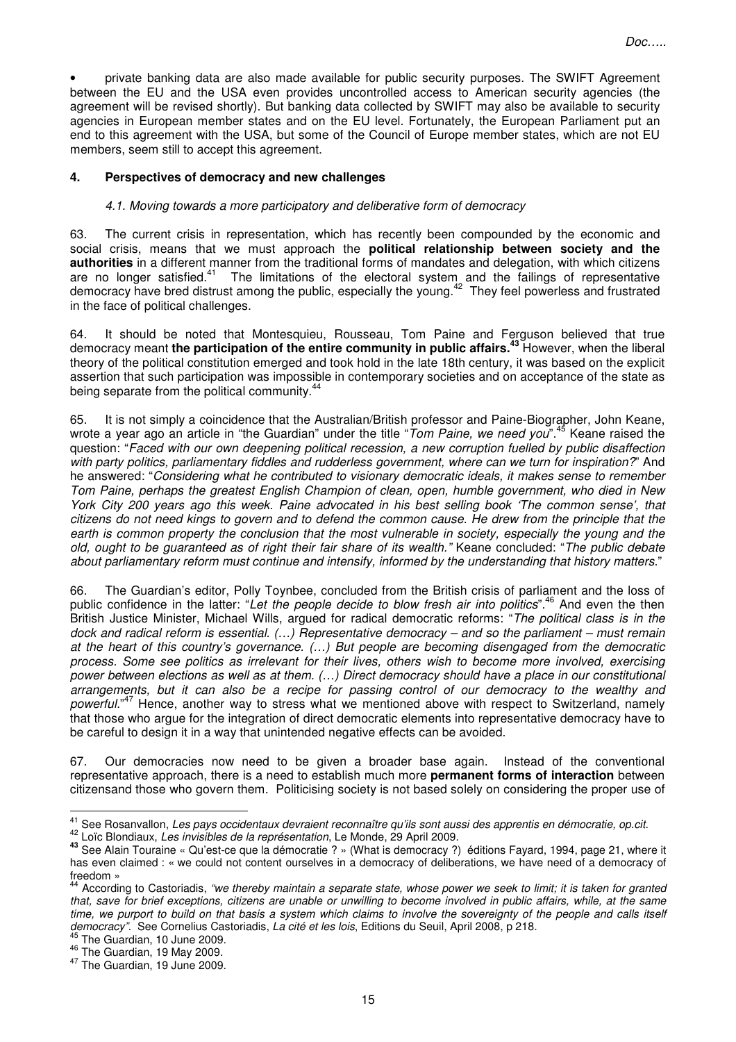• private banking data are also made available for public security purposes. The SWIFT Agreement between the EU and the USA even provides uncontrolled access to American security agencies (the agreement will be revised shortly). But banking data collected by SWIFT may also be available to security agencies in European member states and on the EU level. Fortunately, the European Parliament put an end to this agreement with the USA, but some of the Council of Europe member states, which are not EU members, seem still to accept this agreement.

## **4. Perspectives of democracy and new challenges**

## 4.1. Moving towards a more participatory and deliberative form of democracy

63. The current crisis in representation, which has recently been compounded by the economic and social crisis, means that we must approach the **political relationship between society and the authorities** in a different manner from the traditional forms of mandates and delegation, with which citizens are no longer satisfied.<sup>41</sup> The limitations of the electoral system and the failings of representative democracy have bred distrust among the public, especially the young.<sup>42</sup> They feel powerless and frustrated in the face of political challenges.

64. It should be noted that Montesquieu, Rousseau, Tom Paine and Ferguson believed that true democracy meant **the participation of the entire community in public affairs.<sup>43</sup>** However, when the liberal theory of the political constitution emerged and took hold in the late 18th century, it was based on the explicit assertion that such participation was impossible in contemporary societies and on acceptance of the state as being separate from the political community.<sup>44</sup>

65. It is not simply a coincidence that the Australian/British professor and Paine-Biographer, John Keane, wrote a year ago an article in "the Guardian" under the title "Tom Paine, we need you".<sup>45</sup> Keane raised the question: "Faced with our own deepening political recession, a new corruption fuelled by public disaffection with party politics, parliamentary fiddles and rudderless government, where can we turn for inspiration?" And he answered: "Considering what he contributed to visionary democratic ideals, it makes sense to remember Tom Paine, perhaps the greatest English Champion of clean, open, humble government, who died in New York City 200 years ago this week. Paine advocated in his best selling book 'The common sense', that citizens do not need kings to govern and to defend the common cause. He drew from the principle that the earth is common property the conclusion that the most vulnerable in society, especially the young and the old, ought to be guaranteed as of right their fair share of its wealth." Keane concluded: "The public debate about parliamentary reform must continue and intensify, informed by the understanding that history matters."

66. The Guardian's editor, Polly Toynbee, concluded from the British crisis of parliament and the loss of public confidence in the latter: "Let the people decide to blow fresh air into politics".<sup>46</sup> And even the then British Justice Minister, Michael Wills, argued for radical democratic reforms: "The political class is in the dock and radical reform is essential. (…) Representative democracy – and so the parliament – must remain at the heart of this country's governance. (…) But people are becoming disengaged from the democratic process. Some see politics as irrelevant for their lives, others wish to become more involved, exercising power between elections as well as at them. (…) Direct democracy should have a place in our constitutional arrangements, but it can also be a recipe for passing control of our democracy to the wealthy and powerful."<sup>47</sup> Hence, another way to stress what we mentioned above with respect to Switzerland, namely that those who argue for the integration of direct democratic elements into representative democracy have to be careful to design it in a way that unintended negative effects can be avoided.

67. Our democracies now need to be given a broader base again. Instead of the conventional representative approach, there is a need to establish much more **permanent forms of interaction** between citizensand those who govern them. Politicising society is not based solely on considering the proper use of

<sup>&</sup>lt;sup>41</sup> See Rosanvallon, Les pays occidentaux devraient reconnaître qu'ils sont aussi des apprentis en démocratie, op.cit.

<sup>42</sup> Loïc Blondiaux, Les invisibles de la représentation, Le Monde, 29 April 2009.

**<sup>43</sup>** See Alain Touraine « Qu'est-ce que la démocratie ? » (What is democracy ?) éditions Fayard, 1994, page 21, where it has even claimed : « we could not content ourselves in a democracy of deliberations, we have need of a democracy of freedom »

<sup>44</sup> According to Castoriadis, "we thereby maintain a separate state, whose power we seek to limit; it is taken for granted that, save for brief exceptions, citizens are unable or unwilling to become involved in public affairs, while, at the same time, we purport to build on that basis a system which claims to involve the sovereignty of the people and calls itself democracy". See Cornelius Castoriadis, La cité et les lois, Editions du Seuil, April 2008, p 218.

 $^{45}$  The Guardian, 10 June 2009.

<sup>46</sup> The Guardian, 19 May 2009.

<sup>47</sup> The Guardian, 19 June 2009.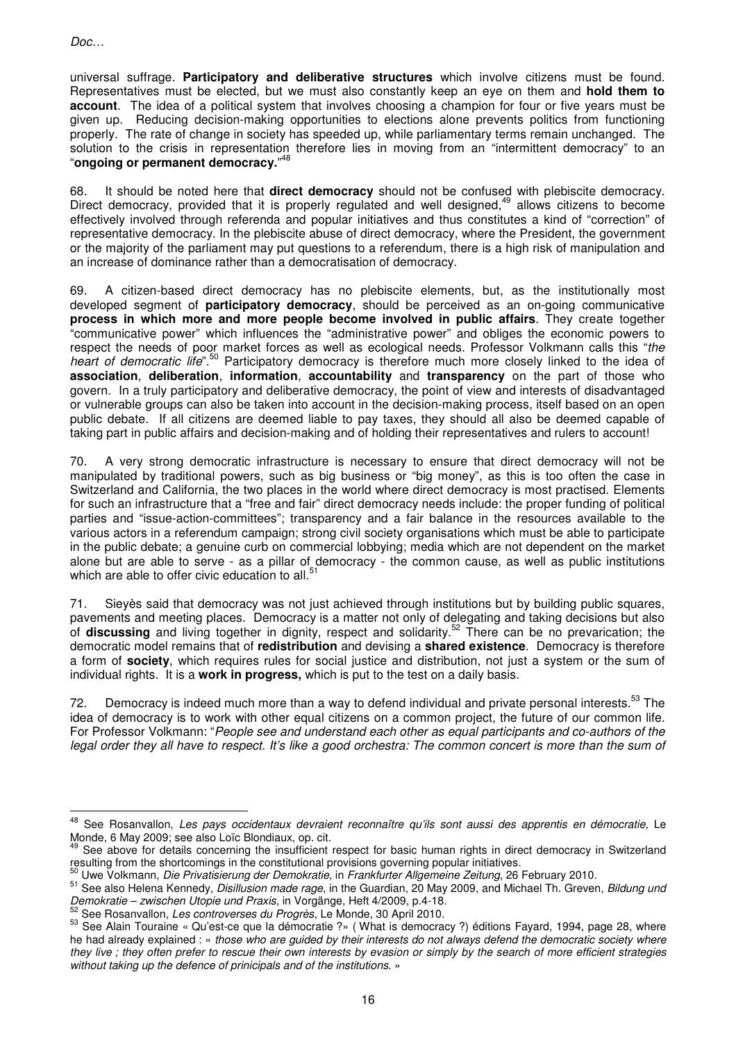$\overline{a}$ 

universal suffrage. **Participatory and deliberative structures** which involve citizens must be found. Representatives must be elected, but we must also constantly keep an eye on them and **hold them to account**. The idea of a political system that involves choosing a champion for four or five years must be given up. Reducing decision-making opportunities to elections alone prevents politics from functioning properly. The rate of change in society has speeded up, while parliamentary terms remain unchanged. The solution to the crisis in representation therefore lies in moving from an "intermittent democracy" to an "**ongoing or permanent democracy.**" 48

68. It should be noted here that **direct democracy** should not be confused with plebiscite democracy. Direct democracy, provided that it is properly regulated and well designed,<sup>49</sup> allows citizens to become effectively involved through referenda and popular initiatives and thus constitutes a kind of "correction" of representative democracy. In the plebiscite abuse of direct democracy, where the President, the government or the majority of the parliament may put questions to a referendum, there is a high risk of manipulation and an increase of dominance rather than a democratisation of democracy.

69. A citizen-based direct democracy has no plebiscite elements, but, as the institutionally most developed segment of **participatory democracy**, should be perceived as an on-going communicative **process in which more and more people become involved in public affairs**. They create together "communicative power" which influences the "administrative power" and obliges the economic powers to respect the needs of poor market forces as well as ecological needs. Professor Volkmann calls this "the heart of democratic life".<sup>50</sup> Participatory democracy is therefore much more closely linked to the idea of **association**, **deliberation**, **information**, **accountability** and **transparency** on the part of those who govern. In a truly participatory and deliberative democracy, the point of view and interests of disadvantaged or vulnerable groups can also be taken into account in the decision-making process, itself based on an open public debate. If all citizens are deemed liable to pay taxes, they should all also be deemed capable of taking part in public affairs and decision-making and of holding their representatives and rulers to account!

70. A very strong democratic infrastructure is necessary to ensure that direct democracy will not be manipulated by traditional powers, such as big business or "big money", as this is too often the case in Switzerland and California, the two places in the world where direct democracy is most practised. Elements for such an infrastructure that a "free and fair" direct democracy needs include: the proper funding of political parties and "issue-action-committees"; transparency and a fair balance in the resources available to the various actors in a referendum campaign; strong civil society organisations which must be able to participate in the public debate; a genuine curb on commercial lobbying; media which are not dependent on the market alone but are able to serve - as a pillar of democracy - the common cause, as well as public institutions which are able to offer civic education to all.<sup>51</sup>

71. Sieyès said that democracy was not just achieved through institutions but by building public squares, pavements and meeting places. Democracy is a matter not only of delegating and taking decisions but also of **discussing** and living together in dignity, respect and solidarity.<sup>52</sup> There can be no prevarication; the democratic model remains that of **redistribution** and devising a **shared existence**. Democracy is therefore a form of **society**, which requires rules for social justice and distribution, not just a system or the sum of individual rights. It is a **work in progress,** which is put to the test on a daily basis.

72. Democracy is indeed much more than a way to defend individual and private personal interests.<sup>53</sup> The idea of democracy is to work with other equal citizens on a common project, the future of our common life. For Professor Volkmann: "People see and understand each other as equal participants and co-authors of the legal order they all have to respect. It's like a good orchestra: The common concert is more than the sum of

<sup>&</sup>lt;sup>48</sup> See Rosanvallon, Les pays occidentaux devraient reconnaître qu'ils sont aussi des apprentis en démocratie, Le Monde, 6 May 2009; see also Loïc Blondiaux, op. cit.

See above for details concerning the insufficient respect for basic human rights in direct democracy in Switzerland resulting from the shortcomings in the constitutional provisions governing popular initiatives.

<sup>&</sup>lt;sup>50</sup> Uwe Volkmann, *Die Privatisierung der Demokratie*, in Frankfurter Allgemeine Zeitung, 26 February 2010.

<sup>&</sup>lt;sup>51</sup> See also Helena Kennedy, Disillusion made rage, in the Guardian, 20 May 2009, and Michael Th. Greven, Bildung und Demokratie – zwischen Utopie und Praxis, in Vorgänge, Heft 4/2009, p.4-18.

<sup>52</sup> See Rosanvallon, Les controverses du Progrès, Le Monde, 30 April 2010.

<sup>53</sup> See Alain Touraine « Qu'est-ce que la démocratie ?» ( What is democracy ?) éditions Fayard, 1994, page 28, where he had already explained : « those who are guided by their interests do not always defend the democratic society where they live ; they often prefer to rescue their own interests by evasion or simply by the search of more efficient strategies without taking up the defence of prinicipals and of the institutions. »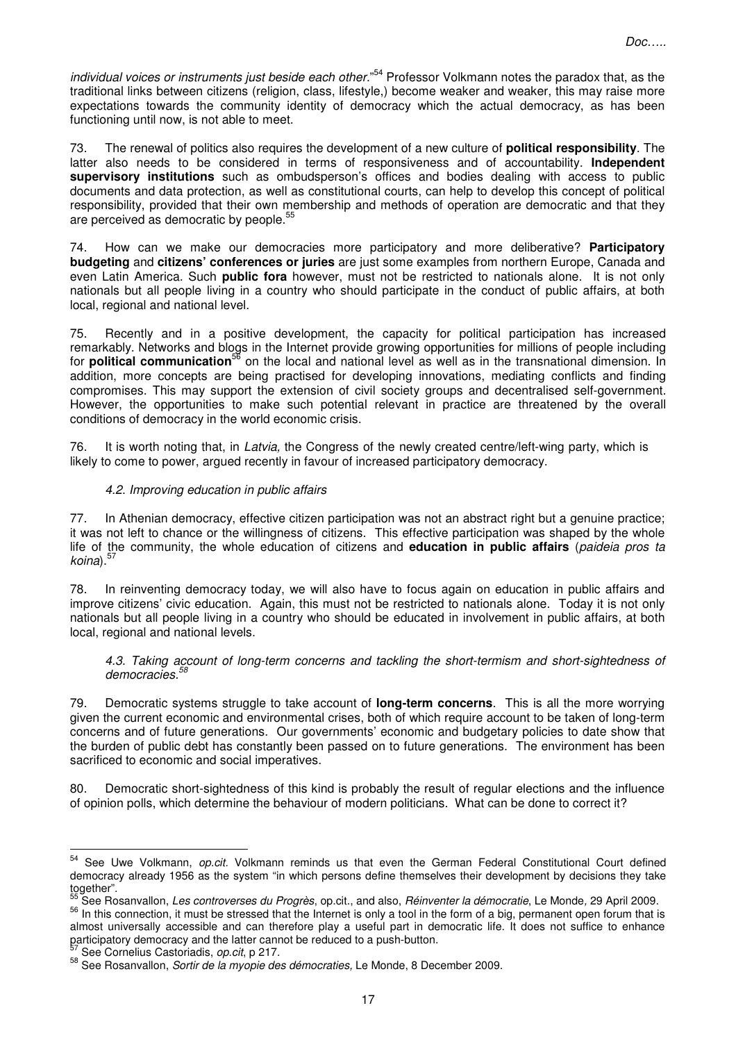individual voices or instruments just beside each other."<sup>54</sup> Professor Volkmann notes the paradox that, as the traditional links between citizens (religion, class, lifestyle,) become weaker and weaker, this may raise more expectations towards the community identity of democracy which the actual democracy, as has been functioning until now, is not able to meet.

73. The renewal of politics also requires the development of a new culture of **political responsibility**. The latter also needs to be considered in terms of responsiveness and of accountability. **Independent supervisory institutions** such as ombudsperson's offices and bodies dealing with access to public documents and data protection, as well as constitutional courts, can help to develop this concept of political responsibility, provided that their own membership and methods of operation are democratic and that they are perceived as democratic by people.<sup>55</sup>

74. How can we make our democracies more participatory and more deliberative? **Participatory budgeting** and **citizens' conferences or juries** are just some examples from northern Europe, Canada and even Latin America. Such **public fora** however, must not be restricted to nationals alone. It is not only nationals but all people living in a country who should participate in the conduct of public affairs, at both local, regional and national level.

75. Recently and in a positive development, the capacity for political participation has increased remarkably. Networks and blogs in the Internet provide growing opportunities for millions of people including for **political communication**<sup>56</sup> on the local and national level as well as in the transnational dimension. In addition, more concepts are being practised for developing innovations, mediating conflicts and finding compromises. This may support the extension of civil society groups and decentralised self-government. However, the opportunities to make such potential relevant in practice are threatened by the overall conditions of democracy in the world economic crisis.

76. It is worth noting that, in Latvia, the Congress of the newly created centre/left-wing party, which is likely to come to power, argued recently in favour of increased participatory democracy.

#### 4.2. Improving education in public affairs

77. In Athenian democracy, effective citizen participation was not an abstract right but a genuine practice; it was not left to chance or the willingness of citizens. This effective participation was shaped by the whole life of the community, the whole education of citizens and **education in public affairs** (paideia pros ta koina).<sup>57</sup>

78. In reinventing democracy today, we will also have to focus again on education in public affairs and improve citizens' civic education. Again, this must not be restricted to nationals alone. Today it is not only nationals but all people living in a country who should be educated in involvement in public affairs, at both local, regional and national levels.

 4.3. Taking account of long-term concerns and tackling the short-termism and short-sightedness of democracies.

79. Democratic systems struggle to take account of **long-term concerns**. This is all the more worrying given the current economic and environmental crises, both of which require account to be taken of long-term concerns and of future generations. Our governments' economic and budgetary policies to date show that the burden of public debt has constantly been passed on to future generations. The environment has been sacrificed to economic and social imperatives.

80. Democratic short-sightedness of this kind is probably the result of regular elections and the influence of opinion polls, which determine the behaviour of modern politicians. What can be done to correct it?

l.

<sup>&</sup>lt;sup>54</sup> See Uwe Volkmann, op.cit. Volkmann reminds us that even the German Federal Constitutional Court defined democracy already 1956 as the system "in which persons define themselves their development by decisions they take together".

<sup>5&</sup>lt;sup>-Merre</sup><br>See Rosanvallon, *Les controverses du Progrès*, op.cit., and also, *Réinventer la démocratie*, Le Monde, 29 April 2009.

<sup>&</sup>lt;sup>56</sup> In this connection, it must be stressed that the Internet is only a tool in the form of a big, permanent open forum that is almost universally accessible and can therefore play a useful part in democratic life. It does not suffice to enhance participatory democracy and the latter cannot be reduced to a push-button.

See Cornelius Castoriadis, op.cit, p 217.

<sup>58</sup> See Rosanvallon, Sortir de la myopie des démocraties, Le Monde, 8 December 2009.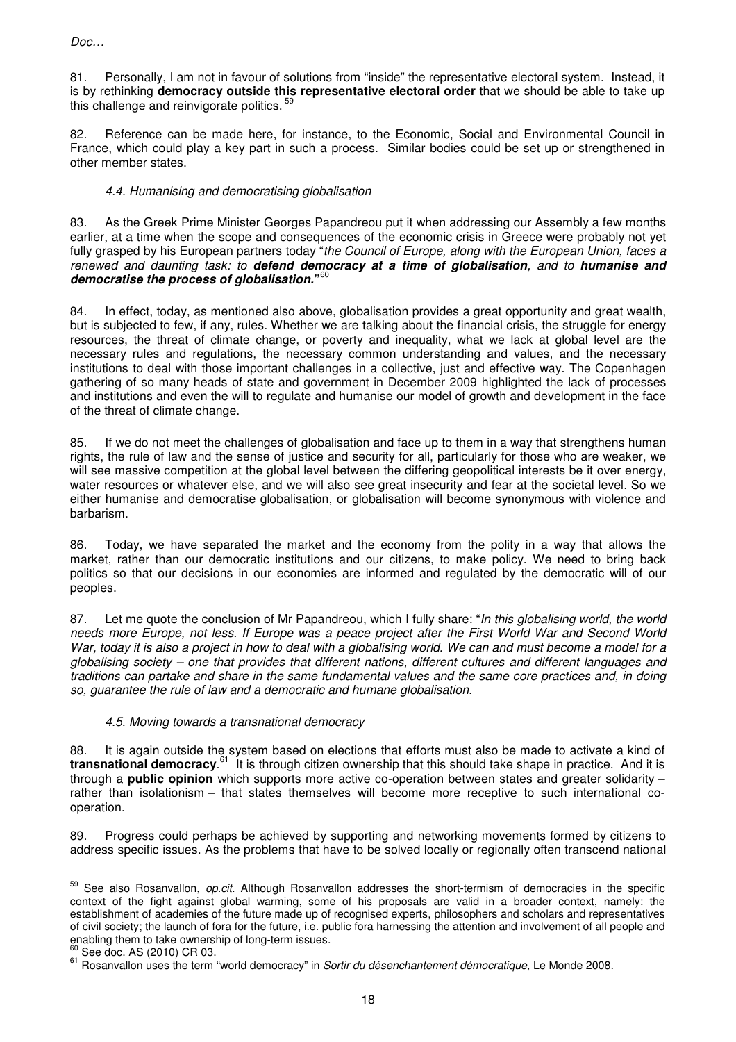81. Personally, I am not in favour of solutions from "inside" the representative electoral system. Instead, it is by rethinking **democracy outside this representative electoral order** that we should be able to take up this challenge and reinvigorate politics.<sup>5</sup>

82. Reference can be made here, for instance, to the Economic, Social and Environmental Council in France, which could play a key part in such a process. Similar bodies could be set up or strengthened in other member states.

## 4.4. Humanising and democratising globalisation

83. As the Greek Prime Minister Georges Papandreou put it when addressing our Assembly a few months earlier, at a time when the scope and consequences of the economic crisis in Greece were probably not yet fully grasped by his European partners today "the Council of Europe, along with the European Union, faces a renewed and daunting task: to **defend democracy at a time of globalisation**, and to **humanise and democratise the process of globalisation."** 60

84. In effect, today, as mentioned also above, globalisation provides a great opportunity and great wealth, but is subjected to few, if any, rules. Whether we are talking about the financial crisis, the struggle for energy resources, the threat of climate change, or poverty and inequality, what we lack at global level are the necessary rules and regulations, the necessary common understanding and values, and the necessary institutions to deal with those important challenges in a collective, just and effective way. The Copenhagen gathering of so many heads of state and government in December 2009 highlighted the lack of processes and institutions and even the will to regulate and humanise our model of growth and development in the face of the threat of climate change.

85. If we do not meet the challenges of globalisation and face up to them in a way that strengthens human rights, the rule of law and the sense of justice and security for all, particularly for those who are weaker, we will see massive competition at the global level between the differing geopolitical interests be it over energy, water resources or whatever else, and we will also see great insecurity and fear at the societal level. So we either humanise and democratise globalisation, or globalisation will become synonymous with violence and barbarism.

86. Today, we have separated the market and the economy from the polity in a way that allows the market, rather than our democratic institutions and our citizens, to make policy. We need to bring back politics so that our decisions in our economies are informed and regulated by the democratic will of our peoples.

87. Let me quote the conclusion of Mr Papandreou, which I fully share: "In this globalising world, the world needs more Europe, not less. If Europe was a peace project after the First World War and Second World War, today it is also a project in how to deal with a globalising world. We can and must become a model for a globalising society – one that provides that different nations, different cultures and different languages and traditions can partake and share in the same fundamental values and the same core practices and, in doing so, guarantee the rule of law and a democratic and humane globalisation.

## 4.5. Moving towards a transnational democracy

88. It is again outside the system based on elections that efforts must also be made to activate a kind of **transnational democracy**. <sup>61</sup> It is through citizen ownership that this should take shape in practice. And it is through a **public opinion** which supports more active co-operation between states and greater solidarity – rather than isolationism – that states themselves will become more receptive to such international cooperation.

89. Progress could perhaps be achieved by supporting and networking movements formed by citizens to address specific issues. As the problems that have to be solved locally or regionally often transcend national

<sup>59</sup> See also Rosanvallon, op.cit. Although Rosanvallon addresses the short-termism of democracies in the specific context of the fight against global warming, some of his proposals are valid in a broader context, namely: the establishment of academies of the future made up of recognised experts, philosophers and scholars and representatives of civil society; the launch of fora for the future, i.e. public fora harnessing the attention and involvement of all people and enabling them to take ownership of long-term issues.

<sup>60</sup> See doc. AS (2010) CR 03.

<sup>&</sup>lt;sup>61</sup> Rosanvallon uses the term "world democracy" in Sortir du désenchantement démocratique, Le Monde 2008.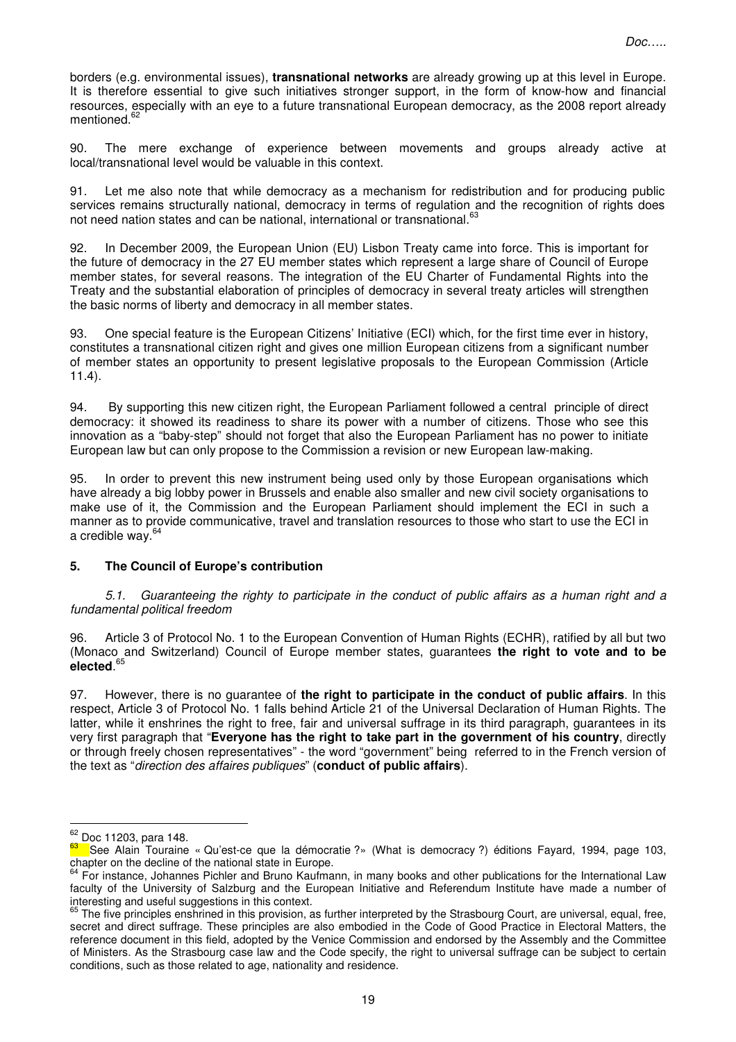borders (e.g. environmental issues), **transnational networks** are already growing up at this level in Europe. It is therefore essential to give such initiatives stronger support, in the form of know-how and financial resources, especially with an eye to a future transnational European democracy, as the 2008 report already mentioned.

90. The mere exchange of experience between movements and groups already active at local/transnational level would be valuable in this context.

Let me also note that while democracy as a mechanism for redistribution and for producing public services remains structurally national, democracy in terms of regulation and the recognition of rights does not need nation states and can be national, international or transnational.<sup>63</sup>

92. In December 2009, the European Union (EU) Lisbon Treaty came into force. This is important for the future of democracy in the 27 EU member states which represent a large share of Council of Europe member states, for several reasons. The integration of the EU Charter of Fundamental Rights into the Treaty and the substantial elaboration of principles of democracy in several treaty articles will strengthen the basic norms of liberty and democracy in all member states.

93. One special feature is the European Citizens' Initiative (ECI) which, for the first time ever in history, constitutes a transnational citizen right and gives one million European citizens from a significant number of member states an opportunity to present legislative proposals to the European Commission (Article 11.4).

94. By supporting this new citizen right, the European Parliament followed a central principle of direct democracy: it showed its readiness to share its power with a number of citizens. Those who see this innovation as a "baby-step" should not forget that also the European Parliament has no power to initiate European law but can only propose to the Commission a revision or new European law-making.

95. In order to prevent this new instrument being used only by those European organisations which have already a big lobby power in Brussels and enable also smaller and new civil society organisations to make use of it, the Commission and the European Parliament should implement the ECI in such a manner as to provide communicative, travel and translation resources to those who start to use the ECI in a credible way.<sup>64</sup>

## **5. The Council of Europe's contribution**

 5.1. Guaranteeing the righty to participate in the conduct of public affairs as a human right and a fundamental political freedom

96. Article 3 of Protocol No. 1 to the European Convention of Human Rights (ECHR), ratified by all but two (Monaco and Switzerland) Council of Europe member states, guarantees **the right to vote and to be elected**. 65

97. However, there is no guarantee of **the right to participate in the conduct of public affairs**. In this respect, Article 3 of Protocol No. 1 falls behind Article 21 of the Universal Declaration of Human Rights. The latter, while it enshrines the right to free, fair and universal suffrage in its third paragraph, guarantees in its very first paragraph that "**Everyone has the right to take part in the government of his country**, directly or through freely chosen representatives" - the word "government" being referred to in the French version of the text as "direction des affaires publiques" (**conduct of public affairs**).

l.

<sup>62</sup> Doc 11203, para 148.

<sup>63</sup> See Alain Touraine « Qu'est-ce que la démocratie ?» (What is democracy ?) éditions Fayard, 1994, page 103, chapter on the decline of the national state in Europe.<br>
<sup>64</sup> Eor instance. <sup>1</sup>

<sup>64</sup> For instance, Johannes Pichler and Bruno Kaufmann, in many books and other publications for the International Law faculty of the University of Salzburg and the European Initiative and Referendum Institute have made a number of interesting and useful suggestions in this context.

The five principles enshrined in this provision, as further interpreted by the Strasbourg Court, are universal, equal, free, secret and direct suffrage. These principles are also embodied in the Code of Good Practice in Electoral Matters, the reference document in this field, adopted by the Venice Commission and endorsed by the Assembly and the Committee of Ministers. As the Strasbourg case law and the Code specify, the right to universal suffrage can be subject to certain conditions, such as those related to age, nationality and residence.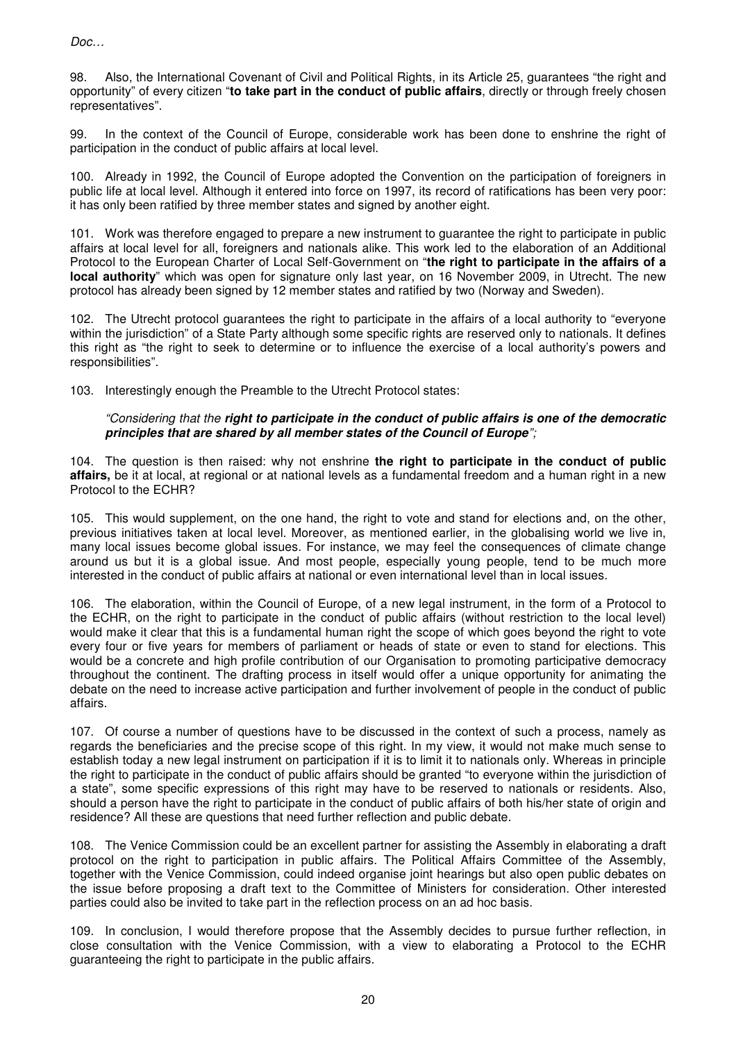98. Also, the International Covenant of Civil and Political Rights, in its Article 25, guarantees "the right and opportunity" of every citizen "**to take part in the conduct of public affairs**, directly or through freely chosen representatives".

99. In the context of the Council of Europe, considerable work has been done to enshrine the right of participation in the conduct of public affairs at local level.

100. Already in 1992, the Council of Europe adopted the Convention on the participation of foreigners in public life at local level. Although it entered into force on 1997, its record of ratifications has been very poor: it has only been ratified by three member states and signed by another eight.

101. Work was therefore engaged to prepare a new instrument to guarantee the right to participate in public affairs at local level for all, foreigners and nationals alike. This work led to the elaboration of an Additional Protocol to the European Charter of Local Self-Government on "**the right to participate in the affairs of a local authority**" which was open for signature only last year, on 16 November 2009, in Utrecht. The new protocol has already been signed by 12 member states and ratified by two (Norway and Sweden).

102. The Utrecht protocol guarantees the right to participate in the affairs of a local authority to "everyone within the jurisdiction" of a State Party although some specific rights are reserved only to nationals. It defines this right as "the right to seek to determine or to influence the exercise of a local authority's powers and responsibilities".

103. Interestingly enough the Preamble to the Utrecht Protocol states:

#### "Considering that the **right to participate in the conduct of public affairs is one of the democratic principles that are shared by all member states of the Council of Europe**";

104. The question is then raised: why not enshrine **the right to participate in the conduct of public affairs,** be it at local, at regional or at national levels as a fundamental freedom and a human right in a new Protocol to the ECHR?

105. This would supplement, on the one hand, the right to vote and stand for elections and, on the other, previous initiatives taken at local level. Moreover, as mentioned earlier, in the globalising world we live in, many local issues become global issues. For instance, we may feel the consequences of climate change around us but it is a global issue. And most people, especially young people, tend to be much more interested in the conduct of public affairs at national or even international level than in local issues.

106. The elaboration, within the Council of Europe, of a new legal instrument, in the form of a Protocol to the ECHR, on the right to participate in the conduct of public affairs (without restriction to the local level) would make it clear that this is a fundamental human right the scope of which goes beyond the right to vote every four or five years for members of parliament or heads of state or even to stand for elections. This would be a concrete and high profile contribution of our Organisation to promoting participative democracy throughout the continent. The drafting process in itself would offer a unique opportunity for animating the debate on the need to increase active participation and further involvement of people in the conduct of public affairs.

107. Of course a number of questions have to be discussed in the context of such a process, namely as regards the beneficiaries and the precise scope of this right. In my view, it would not make much sense to establish today a new legal instrument on participation if it is to limit it to nationals only. Whereas in principle the right to participate in the conduct of public affairs should be granted "to everyone within the jurisdiction of a state", some specific expressions of this right may have to be reserved to nationals or residents. Also, should a person have the right to participate in the conduct of public affairs of both his/her state of origin and residence? All these are questions that need further reflection and public debate.

108. The Venice Commission could be an excellent partner for assisting the Assembly in elaborating a draft protocol on the right to participation in public affairs. The Political Affairs Committee of the Assembly, together with the Venice Commission, could indeed organise joint hearings but also open public debates on the issue before proposing a draft text to the Committee of Ministers for consideration. Other interested parties could also be invited to take part in the reflection process on an ad hoc basis.

109. In conclusion, I would therefore propose that the Assembly decides to pursue further reflection, in close consultation with the Venice Commission, with a view to elaborating a Protocol to the ECHR guaranteeing the right to participate in the public affairs.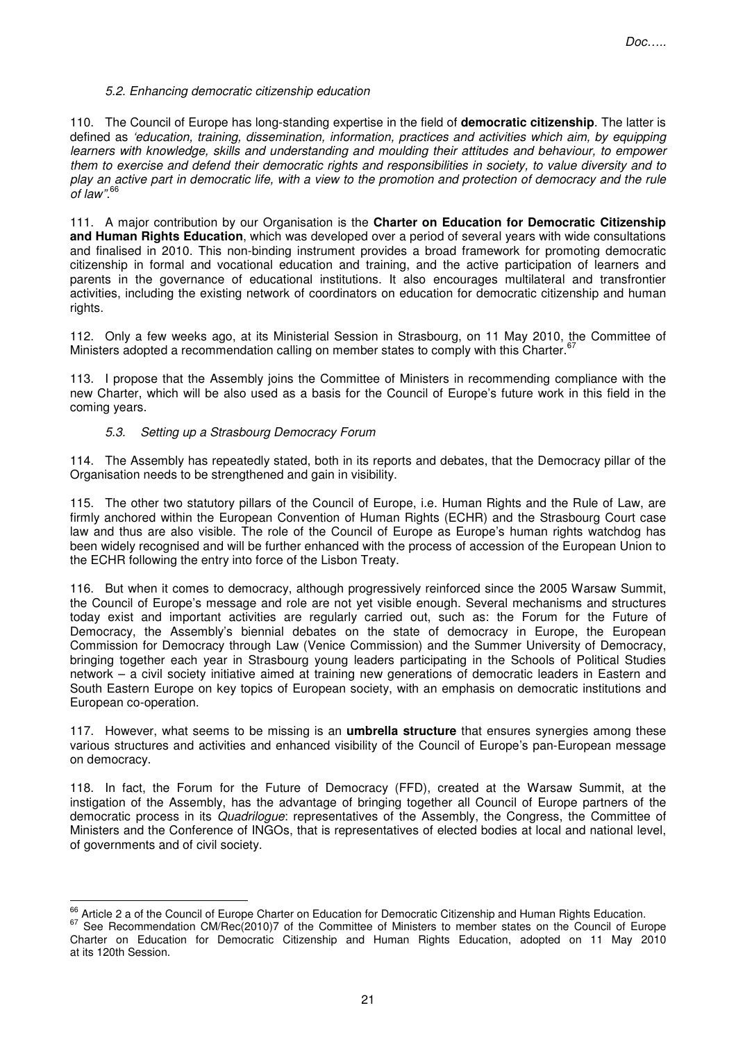## 5.2. Enhancing democratic citizenship education

110. The Council of Europe has long-standing expertise in the field of **democratic citizenship**. The latter is defined as 'education, training, dissemination, information, practices and activities which aim, by equipping learners with knowledge, skills and understanding and moulding their attitudes and behaviour, to empower them to exercise and defend their democratic rights and responsibilities in society, to value diversity and to play an active part in democratic life, with a view to the promotion and protection of democracy and the rule of law".<sup>66</sup>

111. A major contribution by our Organisation is the **Charter on Education for Democratic Citizenship and Human Rights Education**, which was developed over a period of several years with wide consultations and finalised in 2010. This non-binding instrument provides a broad framework for promoting democratic citizenship in formal and vocational education and training, and the active participation of learners and parents in the governance of educational institutions. It also encourages multilateral and transfrontier activities, including the existing network of coordinators on education for democratic citizenship and human rights.

112. Only a few weeks ago, at its Ministerial Session in Strasbourg, on 11 May 2010, the Committee of Ministers adopted a recommendation calling on member states to comply with this Charter.<sup>67</sup>

113. I propose that the Assembly joins the Committee of Ministers in recommending compliance with the new Charter, which will be also used as a basis for the Council of Europe's future work in this field in the coming years.

## 5.3. Setting up a Strasbourg Democracy Forum

 $\overline{a}$ 

114. The Assembly has repeatedly stated, both in its reports and debates, that the Democracy pillar of the Organisation needs to be strengthened and gain in visibility.

115. The other two statutory pillars of the Council of Europe, i.e. Human Rights and the Rule of Law, are firmly anchored within the European Convention of Human Rights (ECHR) and the Strasbourg Court case law and thus are also visible. The role of the Council of Europe as Europe's human rights watchdog has been widely recognised and will be further enhanced with the process of accession of the European Union to the ECHR following the entry into force of the Lisbon Treaty.

116. But when it comes to democracy, although progressively reinforced since the 2005 Warsaw Summit, the Council of Europe's message and role are not yet visible enough. Several mechanisms and structures today exist and important activities are regularly carried out, such as: the Forum for the Future of Democracy, the Assembly's biennial debates on the state of democracy in Europe, the European Commission for Democracy through Law (Venice Commission) and the Summer University of Democracy, bringing together each year in Strasbourg young leaders participating in the Schools of Political Studies network – a civil society initiative aimed at training new generations of democratic leaders in Eastern and South Eastern Europe on key topics of European society, with an emphasis on democratic institutions and European co-operation.

117. However, what seems to be missing is an **umbrella structure** that ensures synergies among these various structures and activities and enhanced visibility of the Council of Europe's pan-European message on democracy.

118. In fact, the Forum for the Future of Democracy (FFD), created at the Warsaw Summit, at the instigation of the Assembly, has the advantage of bringing together all Council of Europe partners of the democratic process in its *Quadriloque*: representatives of the Assembly, the Congress, the Committee of Ministers and the Conference of INGOs, that is representatives of elected bodies at local and national level, of governments and of civil society.

<sup>&</sup>lt;sup>66</sup> Article 2 a of the Council of Europe Charter on Education for Democratic Citizenship and Human Rights Education.

<sup>&</sup>lt;sup>67</sup> See Recommendation CM/Rec(2010)7 of the Committee of Ministers to member states on the Council of Europe Charter on Education for Democratic Citizenship and Human Rights Education, adopted on 11 May 2010 at its 120th Session.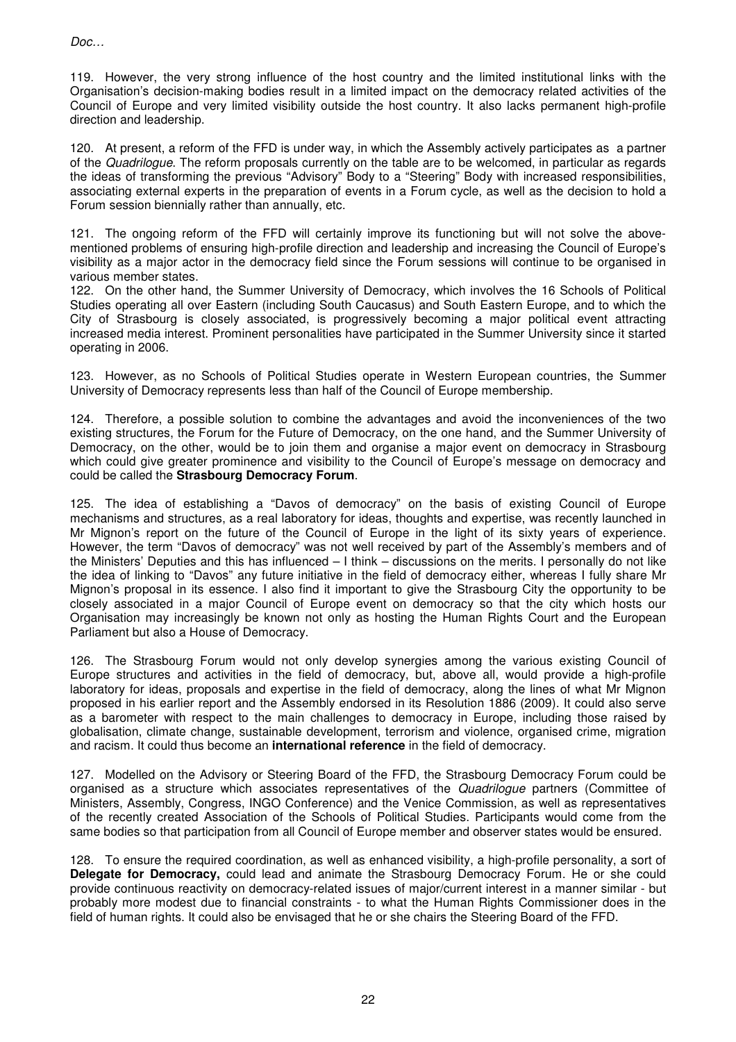119. However, the very strong influence of the host country and the limited institutional links with the Organisation's decision-making bodies result in a limited impact on the democracy related activities of the Council of Europe and very limited visibility outside the host country. It also lacks permanent high-profile direction and leadership.

120. At present, a reform of the FFD is under way, in which the Assembly actively participates as a partner of the Quadrilogue. The reform proposals currently on the table are to be welcomed, in particular as regards the ideas of transforming the previous "Advisory" Body to a "Steering" Body with increased responsibilities, associating external experts in the preparation of events in a Forum cycle, as well as the decision to hold a Forum session biennially rather than annually, etc.

121. The ongoing reform of the FFD will certainly improve its functioning but will not solve the abovementioned problems of ensuring high-profile direction and leadership and increasing the Council of Europe's visibility as a major actor in the democracy field since the Forum sessions will continue to be organised in various member states.

122. On the other hand, the Summer University of Democracy, which involves the 16 Schools of Political Studies operating all over Eastern (including South Caucasus) and South Eastern Europe, and to which the City of Strasbourg is closely associated, is progressively becoming a major political event attracting increased media interest. Prominent personalities have participated in the Summer University since it started operating in 2006.

123. However, as no Schools of Political Studies operate in Western European countries, the Summer University of Democracy represents less than half of the Council of Europe membership.

124. Therefore, a possible solution to combine the advantages and avoid the inconveniences of the two existing structures, the Forum for the Future of Democracy, on the one hand, and the Summer University of Democracy, on the other, would be to join them and organise a major event on democracy in Strasbourg which could give greater prominence and visibility to the Council of Europe's message on democracy and could be called the **Strasbourg Democracy Forum**.

125. The idea of establishing a "Davos of democracy" on the basis of existing Council of Europe mechanisms and structures, as a real laboratory for ideas, thoughts and expertise, was recently launched in Mr Mignon's report on the future of the Council of Europe in the light of its sixty years of experience. However, the term "Davos of democracy" was not well received by part of the Assembly's members and of the Ministers' Deputies and this has influenced – I think – discussions on the merits. I personally do not like the idea of linking to "Davos" any future initiative in the field of democracy either, whereas I fully share Mr Mignon's proposal in its essence. I also find it important to give the Strasbourg City the opportunity to be closely associated in a major Council of Europe event on democracy so that the city which hosts our Organisation may increasingly be known not only as hosting the Human Rights Court and the European Parliament but also a House of Democracy.

126. The Strasbourg Forum would not only develop synergies among the various existing Council of Europe structures and activities in the field of democracy, but, above all, would provide a high-profile laboratory for ideas, proposals and expertise in the field of democracy, along the lines of what Mr Mignon proposed in his earlier report and the Assembly endorsed in its Resolution 1886 (2009). It could also serve as a barometer with respect to the main challenges to democracy in Europe, including those raised by globalisation, climate change, sustainable development, terrorism and violence, organised crime, migration and racism. It could thus become an **international reference** in the field of democracy.

127. Modelled on the Advisory or Steering Board of the FFD, the Strasbourg Democracy Forum could be organised as a structure which associates representatives of the *Quadrilogue* partners (Committee of Ministers, Assembly, Congress, INGO Conference) and the Venice Commission, as well as representatives of the recently created Association of the Schools of Political Studies. Participants would come from the same bodies so that participation from all Council of Europe member and observer states would be ensured.

128. To ensure the required coordination, as well as enhanced visibility, a high-profile personality, a sort of **Delegate for Democracy,** could lead and animate the Strasbourg Democracy Forum. He or she could provide continuous reactivity on democracy-related issues of major/current interest in a manner similar - but probably more modest due to financial constraints - to what the Human Rights Commissioner does in the field of human rights. It could also be envisaged that he or she chairs the Steering Board of the FFD.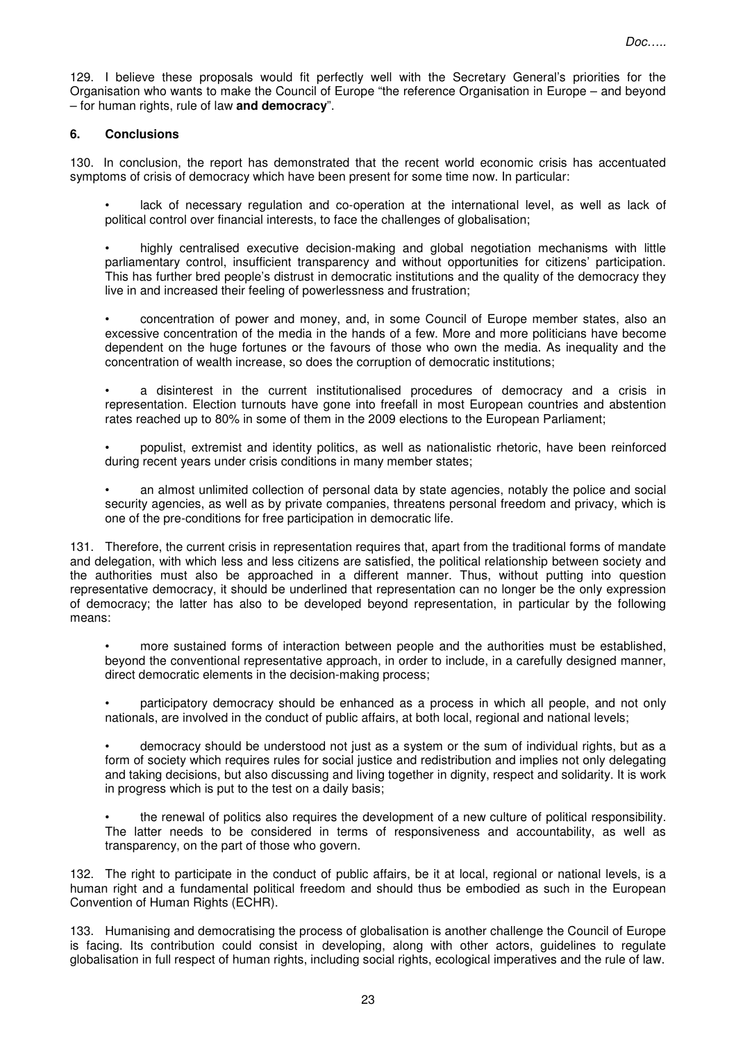129. I believe these proposals would fit perfectly well with the Secretary General's priorities for the Organisation who wants to make the Council of Europe "the reference Organisation in Europe – and beyond – for human rights, rule of law **and democracy**".

## **6. Conclusions**

130. In conclusion, the report has demonstrated that the recent world economic crisis has accentuated symptoms of crisis of democracy which have been present for some time now. In particular:

lack of necessary regulation and co-operation at the international level, as well as lack of political control over financial interests, to face the challenges of globalisation;

 • highly centralised executive decision-making and global negotiation mechanisms with little parliamentary control, insufficient transparency and without opportunities for citizens' participation. This has further bred people's distrust in democratic institutions and the quality of the democracy they live in and increased their feeling of powerlessness and frustration;

 • concentration of power and money, and, in some Council of Europe member states, also an excessive concentration of the media in the hands of a few. More and more politicians have become dependent on the huge fortunes or the favours of those who own the media. As inequality and the concentration of wealth increase, so does the corruption of democratic institutions;

 • a disinterest in the current institutionalised procedures of democracy and a crisis in representation. Election turnouts have gone into freefall in most European countries and abstention rates reached up to 80% in some of them in the 2009 elections to the European Parliament;

- populist, extremist and identity politics, as well as nationalistic rhetoric, have been reinforced during recent years under crisis conditions in many member states;
- an almost unlimited collection of personal data by state agencies, notably the police and social security agencies, as well as by private companies, threatens personal freedom and privacy, which is one of the pre-conditions for free participation in democratic life.

131. Therefore, the current crisis in representation requires that, apart from the traditional forms of mandate and delegation, with which less and less citizens are satisfied, the political relationship between society and the authorities must also be approached in a different manner. Thus, without putting into question representative democracy, it should be underlined that representation can no longer be the only expression of democracy; the latter has also to be developed beyond representation, in particular by the following means:

 • more sustained forms of interaction between people and the authorities must be established, beyond the conventional representative approach, in order to include, in a carefully designed manner, direct democratic elements in the decision-making process;

 • participatory democracy should be enhanced as a process in which all people, and not only nationals, are involved in the conduct of public affairs, at both local, regional and national levels;

 • democracy should be understood not just as a system or the sum of individual rights, but as a form of society which requires rules for social justice and redistribution and implies not only delegating and taking decisions, but also discussing and living together in dignity, respect and solidarity. It is work in progress which is put to the test on a daily basis;

 • the renewal of politics also requires the development of a new culture of political responsibility. The latter needs to be considered in terms of responsiveness and accountability, as well as transparency, on the part of those who govern.

132. The right to participate in the conduct of public affairs, be it at local, regional or national levels, is a human right and a fundamental political freedom and should thus be embodied as such in the European Convention of Human Rights (ECHR).

133. Humanising and democratising the process of globalisation is another challenge the Council of Europe is facing. Its contribution could consist in developing, along with other actors, guidelines to regulate globalisation in full respect of human rights, including social rights, ecological imperatives and the rule of law.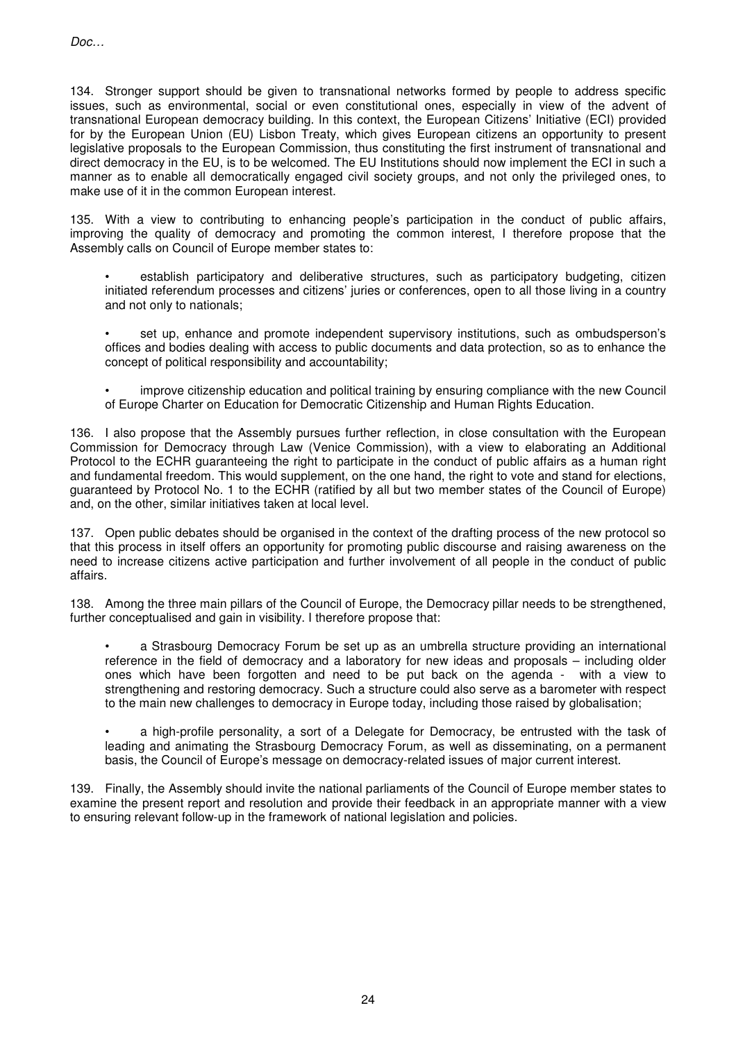134. Stronger support should be given to transnational networks formed by people to address specific issues, such as environmental, social or even constitutional ones, especially in view of the advent of transnational European democracy building. In this context, the European Citizens' Initiative (ECI) provided for by the European Union (EU) Lisbon Treaty, which gives European citizens an opportunity to present legislative proposals to the European Commission, thus constituting the first instrument of transnational and direct democracy in the EU, is to be welcomed. The EU Institutions should now implement the ECI in such a manner as to enable all democratically engaged civil society groups, and not only the privileged ones, to make use of it in the common European interest.

135. With a view to contributing to enhancing people's participation in the conduct of public affairs, improving the quality of democracy and promoting the common interest, I therefore propose that the Assembly calls on Council of Europe member states to:

- establish participatory and deliberative structures, such as participatory budgeting, citizen initiated referendum processes and citizens' juries or conferences, open to all those living in a country and not only to nationals;
- set up, enhance and promote independent supervisory institutions, such as ombudsperson's offices and bodies dealing with access to public documents and data protection, so as to enhance the concept of political responsibility and accountability;
- improve citizenship education and political training by ensuring compliance with the new Council of Europe Charter on Education for Democratic Citizenship and Human Rights Education.

136. I also propose that the Assembly pursues further reflection, in close consultation with the European Commission for Democracy through Law (Venice Commission), with a view to elaborating an Additional Protocol to the ECHR guaranteeing the right to participate in the conduct of public affairs as a human right and fundamental freedom. This would supplement, on the one hand, the right to vote and stand for elections, guaranteed by Protocol No. 1 to the ECHR (ratified by all but two member states of the Council of Europe) and, on the other, similar initiatives taken at local level.

137. Open public debates should be organised in the context of the drafting process of the new protocol so that this process in itself offers an opportunity for promoting public discourse and raising awareness on the need to increase citizens active participation and further involvement of all people in the conduct of public affairs.

138. Among the three main pillars of the Council of Europe, the Democracy pillar needs to be strengthened, further conceptualised and gain in visibility. I therefore propose that:

- a Strasbourg Democracy Forum be set up as an umbrella structure providing an international reference in the field of democracy and a laboratory for new ideas and proposals – including older ones which have been forgotten and need to be put back on the agenda - with a view to strengthening and restoring democracy. Such a structure could also serve as a barometer with respect to the main new challenges to democracy in Europe today, including those raised by globalisation;
- a high-profile personality, a sort of a Delegate for Democracy, be entrusted with the task of leading and animating the Strasbourg Democracy Forum, as well as disseminating, on a permanent basis, the Council of Europe's message on democracy-related issues of major current interest.

139. Finally, the Assembly should invite the national parliaments of the Council of Europe member states to examine the present report and resolution and provide their feedback in an appropriate manner with a view to ensuring relevant follow-up in the framework of national legislation and policies.